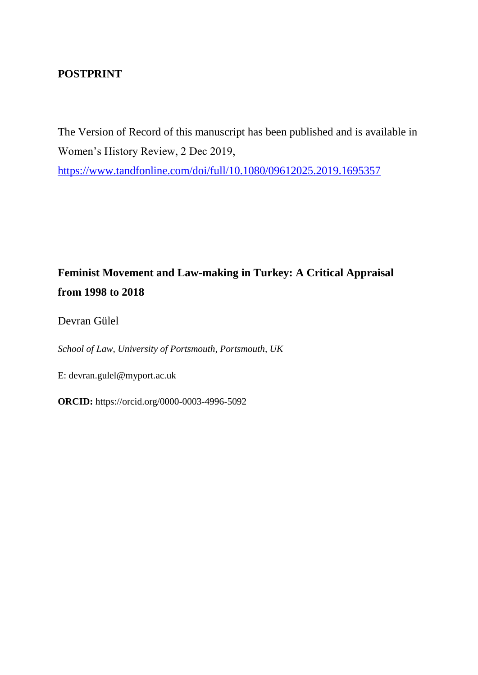# **POSTPRINT**

The Version of Record of this manuscript has been published and is available in Women's History Review, 2 Dec 2019, <https://www.tandfonline.com/doi/full/10.1080/09612025.2019.1695357>

# **Feminist Movement and Law-making in Turkey: A Critical Appraisal from 1998 to 2018**

Devran Gülel

*School of Law, University of Portsmouth, Portsmouth, UK*

E: devran.gulel@myport.ac.uk

**ORCID:** https://orcid.org/0000-0003-4996-5092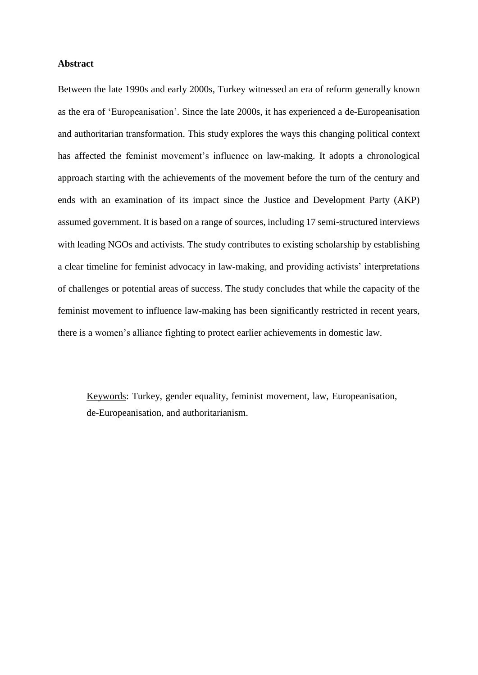#### **Abstract**

Between the late 1990s and early 2000s, Turkey witnessed an era of reform generally known as the era of 'Europeanisation'. Since the late 2000s, it has experienced a de-Europeanisation and authoritarian transformation. This study explores the ways this changing political context has affected the feminist movement's influence on law-making. It adopts a chronological approach starting with the achievements of the movement before the turn of the century and ends with an examination of its impact since the Justice and Development Party (AKP) assumed government. It is based on a range of sources, including 17 semi-structured interviews with leading NGOs and activists. The study contributes to existing scholarship by establishing a clear timeline for feminist advocacy in law-making, and providing activists' interpretations of challenges or potential areas of success. The study concludes that while the capacity of the feminist movement to influence law-making has been significantly restricted in recent years, there is a women's alliance fighting to protect earlier achievements in domestic law.

Keywords: Turkey, gender equality, feminist movement, law, Europeanisation, de-Europeanisation, and authoritarianism.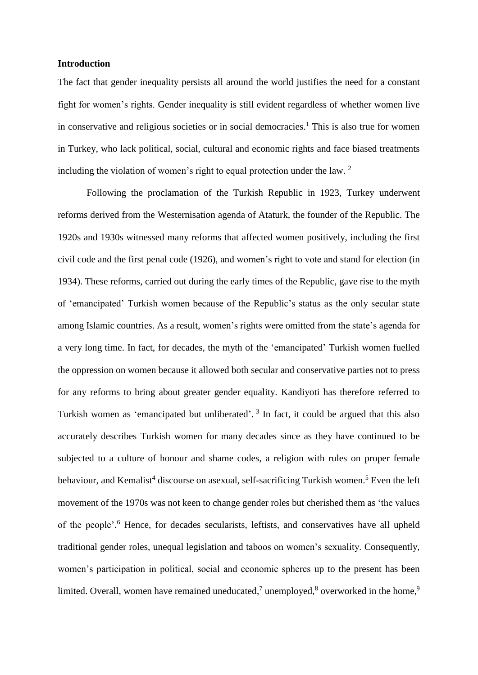#### **Introduction**

The fact that gender inequality persists all around the world justifies the need for a constant fight for women's rights. Gender inequality is still evident regardless of whether women live in conservative and religious societies or in social democracies.<sup>1</sup> This is also true for women in Turkey, who lack political, social, cultural and economic rights and face biased treatments including the violation of women's right to equal protection under the law. <sup>2</sup>

Following the proclamation of the Turkish Republic in 1923, Turkey underwent reforms derived from the Westernisation agenda of Ataturk, the founder of the Republic. The 1920s and 1930s witnessed many reforms that affected women positively, including the first civil code and the first penal code (1926), and women's right to vote and stand for election (in 1934). These reforms, carried out during the early times of the Republic, gave rise to the myth of 'emancipated' Turkish women because of the Republic's status as the only secular state among Islamic countries. As a result, women's rights were omitted from the state's agenda for a very long time. In fact, for decades, the myth of the 'emancipated' Turkish women fuelled the oppression on women because it allowed both secular and conservative parties not to press for any reforms to bring about greater gender equality. Kandiyoti has therefore referred to Turkish women as 'emancipated but unliberated'.<sup>3</sup> In fact, it could be argued that this also accurately describes Turkish women for many decades since as they have continued to be subjected to a culture of honour and shame codes, a religion with rules on proper female behaviour, and Kemalist<sup>4</sup> discourse on asexual, self-sacrificing Turkish women.<sup>5</sup> Even the left movement of the 1970s was not keen to change gender roles but cherished them as 'the values of the people'. <sup>6</sup> Hence, for decades secularists, leftists, and conservatives have all upheld traditional gender roles, unequal legislation and taboos on women's sexuality. Consequently, women's participation in political, social and economic spheres up to the present has been limited. Overall, women have remained uneducated,<sup>7</sup> unemployed,<sup>8</sup> overworked in the home,<sup>9</sup>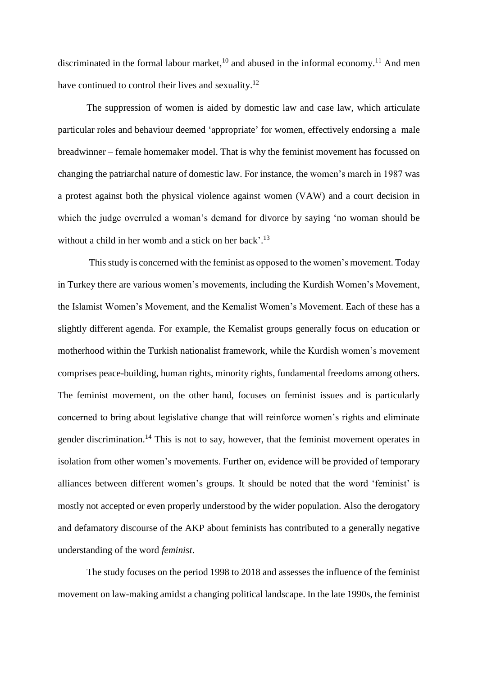discriminated in the formal labour market,  $10$  and abused in the informal economy.  $11$  And men have continued to control their lives and sexuality.<sup>12</sup>

The suppression of women is aided by domestic law and case law, which articulate particular roles and behaviour deemed 'appropriate' for women, effectively endorsing a male breadwinner – female homemaker model. That is why the feminist movement has focussed on changing the patriarchal nature of domestic law. For instance, the women's march in 1987 was a protest against both the physical violence against women (VAW) and a court decision in which the judge overruled a woman's demand for divorce by saying 'no woman should be without a child in her womb and a stick on her back'.<sup>13</sup>

This study is concerned with the feminist as opposed to the women's movement. Today in Turkey there are various women's movements, including the Kurdish Women's Movement, the Islamist Women's Movement, and the Kemalist Women's Movement. Each of these has a slightly different agenda. For example, the Kemalist groups generally focus on education or motherhood within the Turkish nationalist framework, while the Kurdish women's movement comprises peace-building, human rights, minority rights, fundamental freedoms among others. The feminist movement, on the other hand, focuses on feminist issues and is particularly concerned to bring about legislative change that will reinforce women's rights and eliminate gender discrimination.<sup>14</sup> This is not to say, however, that the feminist movement operates in isolation from other women's movements. Further on, evidence will be provided of temporary alliances between different women's groups. It should be noted that the word 'feminist' is mostly not accepted or even properly understood by the wider population. Also the derogatory and defamatory discourse of the AKP about feminists has contributed to a generally negative understanding of the word *feminist*.

The study focuses on the period 1998 to 2018 and assesses the influence of the feminist movement on law-making amidst a changing political landscape. In the late 1990s, the feminist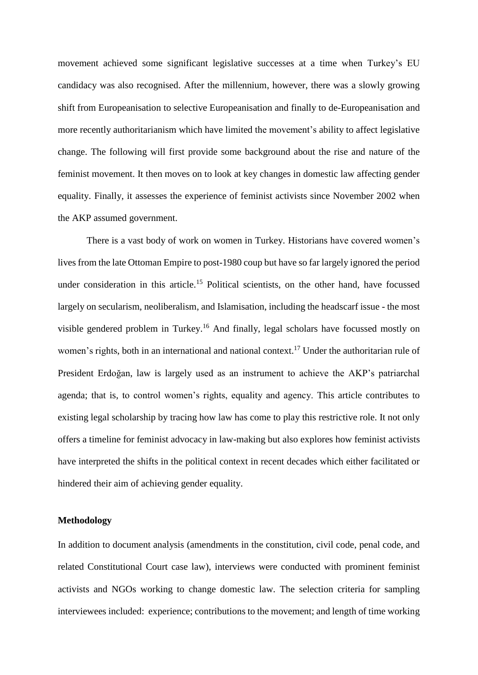movement achieved some significant legislative successes at a time when Turkey's EU candidacy was also recognised. After the millennium, however, there was a slowly growing shift from Europeanisation to selective Europeanisation and finally to de-Europeanisation and more recently authoritarianism which have limited the movement's ability to affect legislative change. The following will first provide some background about the rise and nature of the feminist movement. It then moves on to look at key changes in domestic law affecting gender equality. Finally, it assesses the experience of feminist activists since November 2002 when the AKP assumed government.

There is a vast body of work on women in Turkey. Historians have covered women's lives from the late Ottoman Empire to post-1980 coup but have so far largely ignored the period under consideration in this article.<sup>15</sup> Political scientists, on the other hand, have focussed largely on secularism, neoliberalism, and Islamisation, including the headscarf issue - the most visible gendered problem in Turkey.<sup>16</sup> And finally, legal scholars have focussed mostly on women's rights, both in an international and national context.<sup>17</sup> Under the authoritarian rule of President Erdoğan, law is largely used as an instrument to achieve the AKP's patriarchal agenda; that is, to control women's rights, equality and agency. This article contributes to existing legal scholarship by tracing how law has come to play this restrictive role. It not only offers a timeline for feminist advocacy in law-making but also explores how feminist activists have interpreted the shifts in the political context in recent decades which either facilitated or hindered their aim of achieving gender equality.

#### **Methodology**

In addition to document analysis (amendments in the constitution, civil code, penal code, and related Constitutional Court case law), interviews were conducted with prominent feminist activists and NGOs working to change domestic law. The selection criteria for sampling interviewees included: experience; contributions to the movement; and length of time working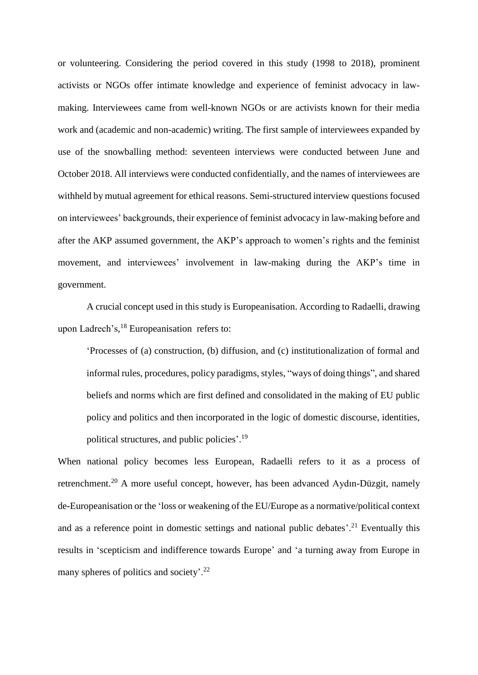or volunteering. Considering the period covered in this study (1998 to 2018), prominent activists or NGOs offer intimate knowledge and experience of feminist advocacy in lawmaking. Interviewees came from well-known NGOs or are activists known for their media work and (academic and non-academic) writing. The first sample of interviewees expanded by use of the snowballing method: seventeen interviews were conducted between June and October 2018. All interviews were conducted confidentially, and the names of interviewees are withheld by mutual agreement for ethical reasons. Semi-structured interview questions focused on interviewees' backgrounds, their experience of feminist advocacy in law-making before and after the AKP assumed government, the AKP's approach to women's rights and the feminist movement, and interviewees' involvement in law-making during the AKP's time in government.

A crucial concept used in this study is Europeanisation. According to Radaelli, drawing upon Ladrech's, <sup>18</sup> Europeanisation refers to:

'Processes of (a) construction, (b) diffusion, and (c) institutionalization of formal and informal rules, procedures, policy paradigms, styles, "ways of doing things", and shared beliefs and norms which are first defined and consolidated in the making of EU public policy and politics and then incorporated in the logic of domestic discourse, identities, political structures, and public policies'.<sup>19</sup>

When national policy becomes less European, Radaelli refers to it as a process of retrenchment.<sup>20</sup> A more useful concept, however, has been advanced Aydın-Düzgit, namely de-Europeanisation or the 'loss or weakening of the EU/Europe as a normative/political context and as a reference point in domestic settings and national public debates'.<sup>21</sup> Eventually this results in 'scepticism and indifference towards Europe' and 'a turning away from Europe in many spheres of politics and society'.<sup>22</sup>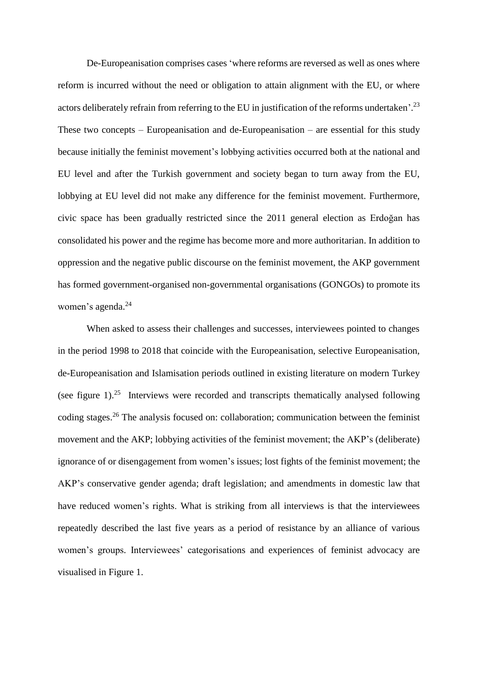De-Europeanisation comprises cases 'where reforms are reversed as well as ones where reform is incurred without the need or obligation to attain alignment with the EU, or where actors deliberately refrain from referring to the EU in justification of the reforms undertaken'.<sup>23</sup> These two concepts – Europeanisation and de-Europeanisation – are essential for this study because initially the feminist movement's lobbying activities occurred both at the national and EU level and after the Turkish government and society began to turn away from the EU, lobbying at EU level did not make any difference for the feminist movement. Furthermore, civic space has been gradually restricted since the 2011 general election as Erdoğan has consolidated his power and the regime has become more and more authoritarian. In addition to oppression and the negative public discourse on the feminist movement, the AKP government has formed government-organised non-governmental organisations (GONGOs) to promote its women's agenda. 24

When asked to assess their challenges and successes, interviewees pointed to changes in the period 1998 to 2018 that coincide with the Europeanisation, selective Europeanisation, de-Europeanisation and Islamisation periods outlined in existing literature on modern Turkey (see figure 1).<sup>25</sup> Interviews were recorded and transcripts thematically analysed following coding stages. <sup>26</sup> The analysis focused on: collaboration; communication between the feminist movement and the AKP; lobbying activities of the feminist movement; the AKP's (deliberate) ignorance of or disengagement from women's issues; lost fights of the feminist movement; the AKP's conservative gender agenda; draft legislation; and amendments in domestic law that have reduced women's rights. What is striking from all interviews is that the interviewees repeatedly described the last five years as a period of resistance by an alliance of various women's groups. Interviewees' categorisations and experiences of feminist advocacy are visualised in Figure 1.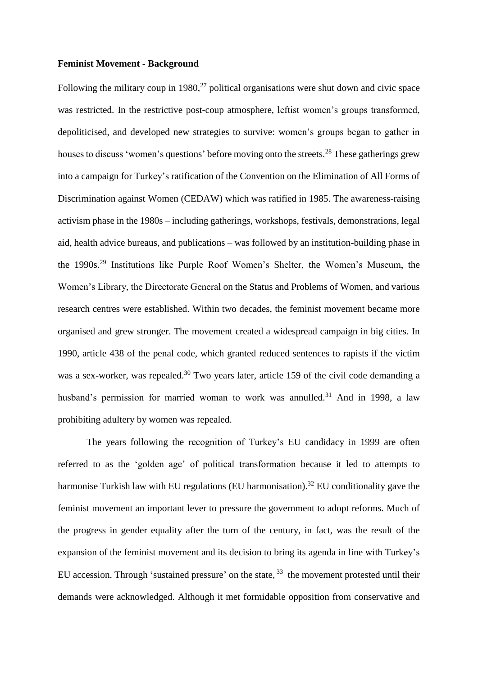#### **Feminist Movement - Background**

Following the military coup in 1980,<sup>27</sup> political organisations were shut down and civic space was restricted. In the restrictive post-coup atmosphere, leftist women's groups transformed, depoliticised, and developed new strategies to survive: women's groups began to gather in houses to discuss 'women's questions' before moving onto the streets.<sup>28</sup> These gatherings grew into a campaign for Turkey's ratification of the Convention on the Elimination of All Forms of Discrimination against Women (CEDAW) which was ratified in 1985. The awareness-raising activism phase in the 1980s – including gatherings, workshops, festivals, demonstrations, legal aid, health advice bureaus, and publications – was followed by an institution-building phase in the 1990s. <sup>29</sup> Institutions like Purple Roof Women's Shelter, the Women's Museum, the Women's Library, the Directorate General on the Status and Problems of Women, and various research centres were established. Within two decades, the feminist movement became more organised and grew stronger. The movement created a widespread campaign in big cities. In 1990, article 438 of the penal code, which granted reduced sentences to rapists if the victim was a sex-worker, was repealed.<sup>30</sup> Two years later, article 159 of the civil code demanding a husband's permission for married woman to work was annulled.<sup>31</sup> And in 1998, a law prohibiting adultery by women was repealed.

The years following the recognition of Turkey's EU candidacy in 1999 are often referred to as the 'golden age' of political transformation because it led to attempts to harmonise Turkish law with EU regulations (EU harmonisation).<sup>32</sup> EU conditionality gave the feminist movement an important lever to pressure the government to adopt reforms. Much of the progress in gender equality after the turn of the century, in fact, was the result of the expansion of the feminist movement and its decision to bring its agenda in line with Turkey's EU accession. Through 'sustained pressure' on the state,  $33$  the movement protested until their demands were acknowledged. Although it met formidable opposition from conservative and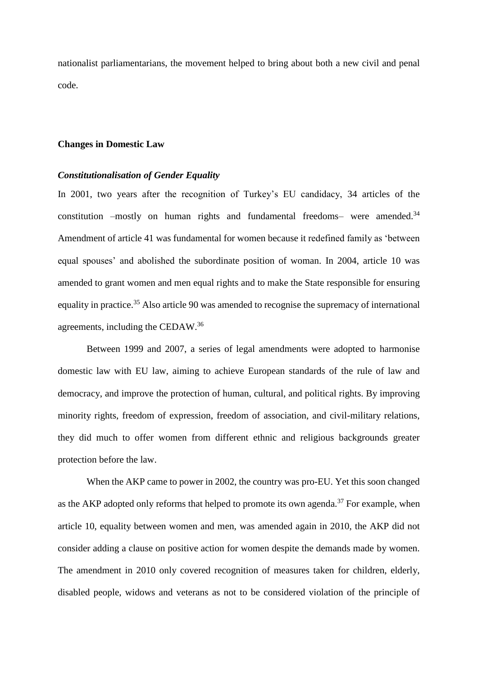nationalist parliamentarians, the movement helped to bring about both a new civil and penal code.

#### **Changes in Domestic Law**

#### *Constitutionalisation of Gender Equality*

In 2001, two years after the recognition of Turkey's EU candidacy, 34 articles of the constitution -mostly on human rights and fundamental freedoms- were amended.<sup>34</sup> Amendment of article 41 was fundamental for women because it redefined family as 'between equal spouses' and abolished the subordinate position of woman. In 2004, article 10 was amended to grant women and men equal rights and to make the State responsible for ensuring equality in practice.<sup>35</sup> Also article 90 was amended to recognise the supremacy of international agreements, including the CEDAW.<sup>36</sup>

Between 1999 and 2007, a series of legal amendments were adopted to harmonise domestic law with EU law, aiming to achieve European standards of the rule of law and democracy, and improve the protection of human, cultural, and political rights. By improving minority rights, freedom of expression, freedom of association, and civil-military relations, they did much to offer women from different ethnic and religious backgrounds greater protection before the law.

When the AKP came to power in 2002, the country was pro-EU. Yet this soon changed as the AKP adopted only reforms that helped to promote its own agenda.<sup>37</sup> For example, when article 10, equality between women and men, was amended again in 2010, the AKP did not consider adding a clause on positive action for women despite the demands made by women. The amendment in 2010 only covered recognition of measures taken for children, elderly, disabled people, widows and veterans as not to be considered violation of the principle of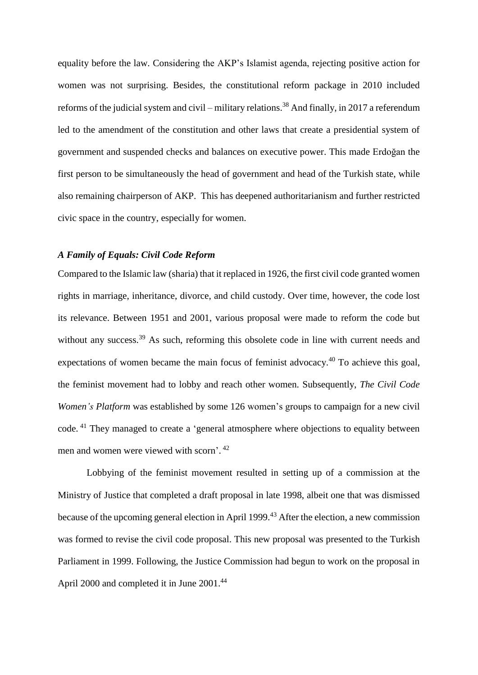equality before the law. Considering the AKP's Islamist agenda, rejecting positive action for women was not surprising. Besides, the constitutional reform package in 2010 included reforms of the judicial system and civil – military relations. <sup>38</sup> And finally, in 2017 a referendum led to the amendment of the constitution and other laws that create a presidential system of government and suspended checks and balances on executive power. This made Erdoğan the first person to be simultaneously the head of government and head of the Turkish state, while also remaining chairperson of AKP. This has deepened authoritarianism and further restricted civic space in the country, especially for women.

## *A Family of Equals: Civil Code Reform*

Compared to the Islamic law (sharia) that it replaced in 1926, the first civil code granted women rights in marriage, inheritance, divorce, and child custody. Over time, however, the code lost its relevance. Between 1951 and 2001, various proposal were made to reform the code but without any success.<sup>39</sup> As such, reforming this obsolete code in line with current needs and expectations of women became the main focus of feminist advocacy.<sup>40</sup> To achieve this goal, the feminist movement had to lobby and reach other women. Subsequently, *The Civil Code Women's Platform* was established by some 126 women's groups to campaign for a new civil code. <sup>41</sup> They managed to create a 'general atmosphere where objections to equality between men and women were viewed with scorn'.<sup>42</sup>

Lobbying of the feminist movement resulted in setting up of a commission at the Ministry of Justice that completed a draft proposal in late 1998, albeit one that was dismissed because of the upcoming general election in April 1999.<sup>43</sup> After the election, a new commission was formed to revise the civil code proposal. This new proposal was presented to the Turkish Parliament in 1999. Following, the Justice Commission had begun to work on the proposal in April 2000 and completed it in June 2001.<sup>44</sup>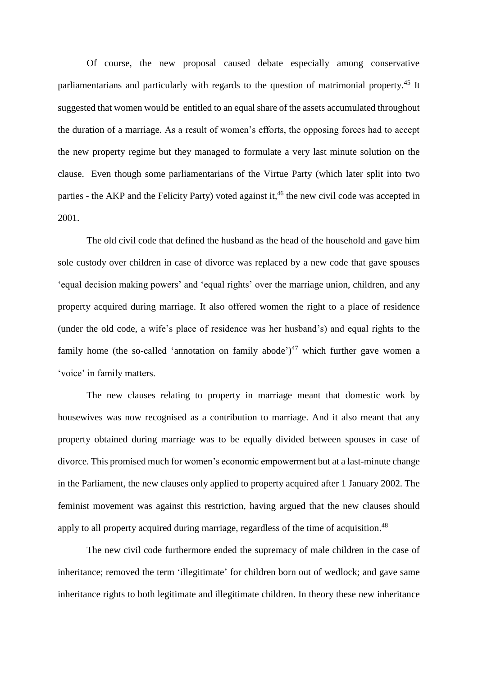Of course, the new proposal caused debate especially among conservative parliamentarians and particularly with regards to the question of matrimonial property.<sup>45</sup> It suggested that women would be entitled to an equal share of the assets accumulated throughout the duration of a marriage. As a result of women's efforts, the opposing forces had to accept the new property regime but they managed to formulate a very last minute solution on the clause. Even though some parliamentarians of the Virtue Party (which later split into two parties - the AKP and the Felicity Party) voted against it,<sup>46</sup> the new civil code was accepted in 2001.

The old civil code that defined the husband as the head of the household and gave him sole custody over children in case of divorce was replaced by a new code that gave spouses 'equal decision making powers' and 'equal rights' over the marriage union, children, and any property acquired during marriage. It also offered women the right to a place of residence (under the old code, a wife's place of residence was her husband's) and equal rights to the family home (the so-called 'annotation on family abode') $47$  which further gave women a 'voice' in family matters.

The new clauses relating to property in marriage meant that domestic work by housewives was now recognised as a contribution to marriage. And it also meant that any property obtained during marriage was to be equally divided between spouses in case of divorce. This promised much for women's economic empowerment but at a last-minute change in the Parliament, the new clauses only applied to property acquired after 1 January 2002. The feminist movement was against this restriction, having argued that the new clauses should apply to all property acquired during marriage, regardless of the time of acquisition.<sup>48</sup>

The new civil code furthermore ended the supremacy of male children in the case of inheritance; removed the term 'illegitimate' for children born out of wedlock; and gave same inheritance rights to both legitimate and illegitimate children. In theory these new inheritance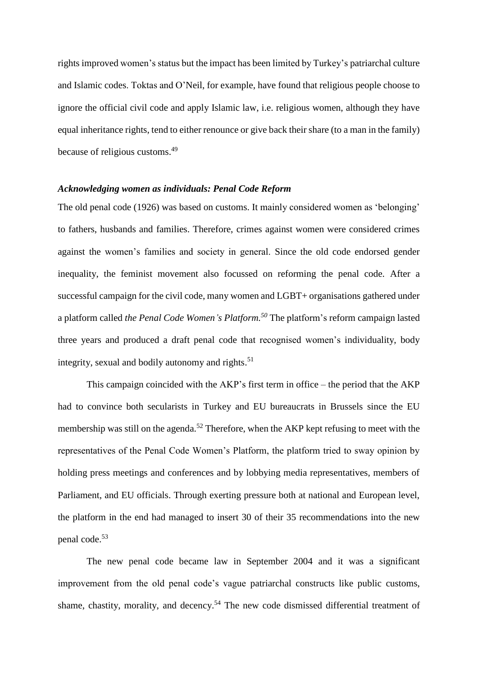rights improved women's status but the impact has been limited by Turkey's patriarchal culture and Islamic codes. Toktas and O'Neil, for example, have found that religious people choose to ignore the official civil code and apply Islamic law, i.e. religious women, although they have equal inheritance rights, tend to either renounce or give back their share (to a man in the family) because of religious customs. 49

## *Acknowledging women as individuals: Penal Code Reform*

The old penal code (1926) was based on customs. It mainly considered women as 'belonging' to fathers, husbands and families. Therefore, crimes against women were considered crimes against the women's families and society in general. Since the old code endorsed gender inequality, the feminist movement also focussed on reforming the penal code. After a successful campaign for the civil code, many women and LGBT+ organisations gathered under a platform called *the Penal Code Women's Platform. <sup>50</sup>* The platform's reform campaign lasted three years and produced a draft penal code that recognised women's individuality, body integrity, sexual and bodily autonomy and rights. 51

This campaign coincided with the AKP's first term in office – the period that the AKP had to convince both secularists in Turkey and EU bureaucrats in Brussels since the EU membership was still on the agenda.<sup>52</sup> Therefore, when the AKP kept refusing to meet with the representatives of the Penal Code Women's Platform, the platform tried to sway opinion by holding press meetings and conferences and by lobbying media representatives, members of Parliament, and EU officials. Through exerting pressure both at national and European level, the platform in the end had managed to insert 30 of their 35 recommendations into the new penal code.<sup>53</sup>

The new penal code became law in September 2004 and it was a significant improvement from the old penal code's vague patriarchal constructs like public customs, shame, chastity, morality, and decency.<sup>54</sup> The new code dismissed differential treatment of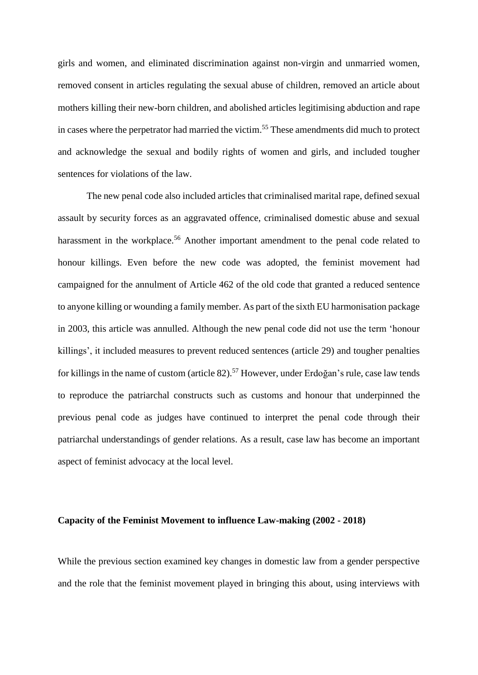girls and women, and eliminated discrimination against non-virgin and unmarried women, removed consent in articles regulating the sexual abuse of children, removed an article about mothers killing their new-born children, and abolished articles legitimising abduction and rape in cases where the perpetrator had married the victim. <sup>55</sup> These amendments did much to protect and acknowledge the sexual and bodily rights of women and girls, and included tougher sentences for violations of the law.

The new penal code also included articles that criminalised marital rape, defined sexual assault by security forces as an aggravated offence, criminalised domestic abuse and sexual harassment in the workplace.<sup>56</sup> Another important amendment to the penal code related to honour killings. Even before the new code was adopted, the feminist movement had campaigned for the annulment of Article 462 of the old code that granted a reduced sentence to anyone killing or wounding a family member. As part of the sixth EU harmonisation package in 2003, this article was annulled. Although the new penal code did not use the term 'honour killings', it included measures to prevent reduced sentences (article 29) and tougher penalties for killings in the name of custom (article 82).<sup>57</sup> However, under Erdoğan's rule, case law tends to reproduce the patriarchal constructs such as customs and honour that underpinned the previous penal code as judges have continued to interpret the penal code through their patriarchal understandings of gender relations. As a result, case law has become an important aspect of feminist advocacy at the local level.

#### **Capacity of the Feminist Movement to influence Law-making (2002 - 2018)**

While the previous section examined key changes in domestic law from a gender perspective and the role that the feminist movement played in bringing this about, using interviews with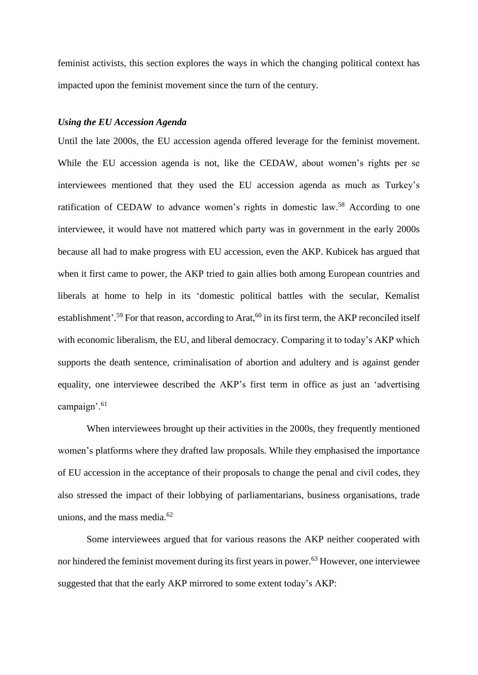feminist activists, this section explores the ways in which the changing political context has impacted upon the feminist movement since the turn of the century.

## *Using the EU Accession Agenda*

Until the late 2000s, the EU accession agenda offered leverage for the feminist movement. While the EU accession agenda is not, like the CEDAW, about women's rights per se interviewees mentioned that they used the EU accession agenda as much as Turkey's ratification of CEDAW to advance women's rights in domestic law.<sup>58</sup> According to one interviewee, it would have not mattered which party was in government in the early 2000s because all had to make progress with EU accession, even the AKP. Kubicek has argued that when it first came to power, the AKP tried to gain allies both among European countries and liberals at home to help in its 'domestic political battles with the secular, Kemalist establishment'.<sup>59</sup> For that reason, according to Arat,<sup>60</sup> in its first term, the AKP reconciled itself with economic liberalism, the EU, and liberal democracy. Comparing it to today's AKP which supports the death sentence, criminalisation of abortion and adultery and is against gender equality, one interviewee described the AKP's first term in office as just an 'advertising campaign'.<sup>61</sup>

When interviewees brought up their activities in the 2000s, they frequently mentioned women's platforms where they drafted law proposals. While they emphasised the importance of EU accession in the acceptance of their proposals to change the penal and civil codes, they also stressed the impact of their lobbying of parliamentarians, business organisations, trade unions, and the mass media. 62

Some interviewees argued that for various reasons the AKP neither cooperated with nor hindered the feminist movement during its first years in power. <sup>63</sup> However, one interviewee suggested that that the early AKP mirrored to some extent today's AKP: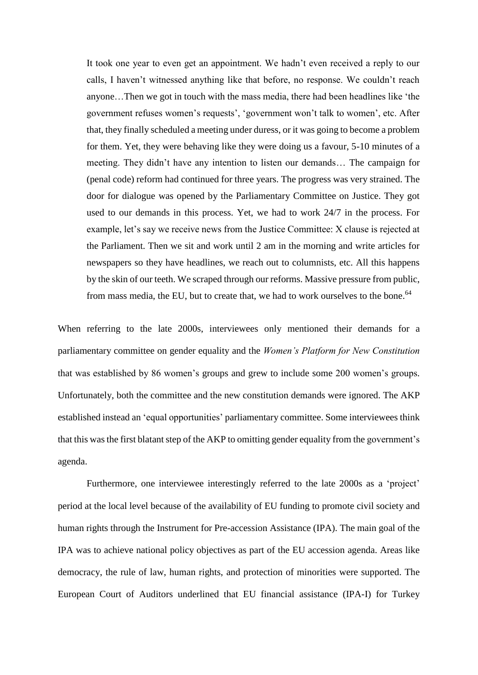It took one year to even get an appointment. We hadn't even received a reply to our calls, I haven't witnessed anything like that before, no response. We couldn't reach anyone…Then we got in touch with the mass media, there had been headlines like 'the government refuses women's requests', 'government won't talk to women', etc. After that, they finally scheduled a meeting under duress, or it was going to become a problem for them. Yet, they were behaving like they were doing us a favour, 5-10 minutes of a meeting. They didn't have any intention to listen our demands… The campaign for (penal code) reform had continued for three years. The progress was very strained. The door for dialogue was opened by the Parliamentary Committee on Justice. They got used to our demands in this process. Yet, we had to work 24/7 in the process. For example, let's say we receive news from the Justice Committee: X clause is rejected at the Parliament. Then we sit and work until 2 am in the morning and write articles for newspapers so they have headlines, we reach out to columnists, etc. All this happens by the skin of our teeth. We scraped through our reforms. Massive pressure from public, from mass media, the EU, but to create that, we had to work ourselves to the bone.<sup>64</sup>

When referring to the late 2000s, interviewees only mentioned their demands for a parliamentary committee on gender equality and the *Women's Platform for New Constitution* that was established by 86 women's groups and grew to include some 200 women's groups. Unfortunately, both the committee and the new constitution demands were ignored. The AKP established instead an 'equal opportunities' parliamentary committee. Some interviewees think that this wasthe first blatant step of the AKP to omitting gender equality from the government's agenda.

Furthermore, one interviewee interestingly referred to the late 2000s as a 'project' period at the local level because of the availability of EU funding to promote civil society and human rights through the Instrument for Pre-accession Assistance (IPA). The main goal of the IPA was to achieve national policy objectives as part of the EU accession agenda. Areas like democracy, the rule of law, human rights, and protection of minorities were supported. The European Court of Auditors underlined that EU financial assistance (IPA-I) for Turkey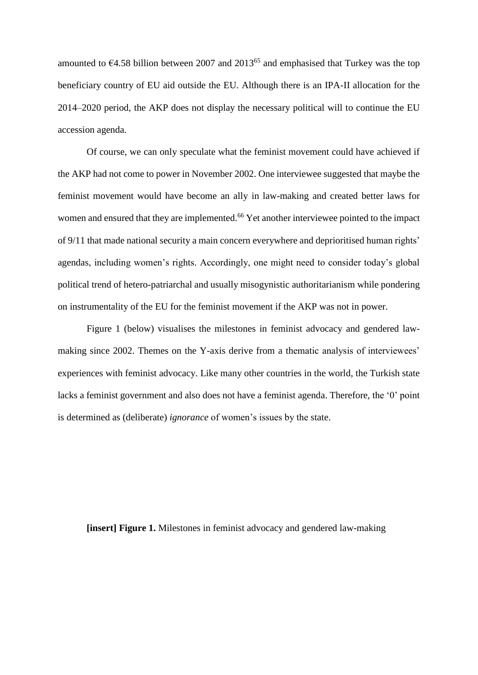amounted to  $64.58$  billion between 2007 and 2013<sup>65</sup> and emphasised that Turkey was the top beneficiary country of EU aid outside the EU. Although there is an IPA-II allocation for the 2014–2020 period, the AKP does not display the necessary political will to continue the EU accession agenda.

Of course, we can only speculate what the feminist movement could have achieved if the AKP had not come to power in November 2002. One interviewee suggested that maybe the feminist movement would have become an ally in law-making and created better laws for women and ensured that they are implemented.<sup>66</sup> Yet another interviewee pointed to the impact of 9/11 that made national security a main concern everywhere and deprioritised human rights' agendas, including women's rights. Accordingly, one might need to consider today's global political trend of hetero-patriarchal and usually misogynistic authoritarianism while pondering on instrumentality of the EU for the feminist movement if the AKP was not in power.

Figure 1 (below) visualises the milestones in feminist advocacy and gendered lawmaking since 2002. Themes on the Y-axis derive from a thematic analysis of interviewees' experiences with feminist advocacy. Like many other countries in the world, the Turkish state lacks a feminist government and also does not have a feminist agenda. Therefore, the '0' point is determined as (deliberate) *ignorance* of women's issues by the state.

**[insert] Figure 1.** Milestones in feminist advocacy and gendered law-making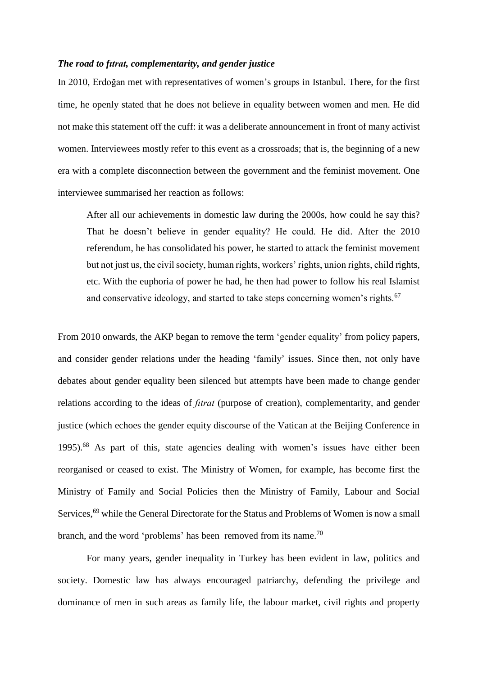#### *The road to fıtrat, complementarity, and gender justice*

In 2010, Erdoğan met with representatives of women's groups in Istanbul. There, for the first time, he openly stated that he does not believe in equality between women and men. He did not make this statement off the cuff: it was a deliberate announcement in front of many activist women. Interviewees mostly refer to this event as a crossroads; that is, the beginning of a new era with a complete disconnection between the government and the feminist movement. One interviewee summarised her reaction as follows:

After all our achievements in domestic law during the 2000s, how could he say this? That he doesn't believe in gender equality? He could. He did. After the 2010 referendum, he has consolidated his power, he started to attack the feminist movement but not just us, the civil society, human rights, workers' rights, union rights, child rights, etc. With the euphoria of power he had, he then had power to follow his real Islamist and conservative ideology, and started to take steps concerning women's rights.<sup>67</sup>

From 2010 onwards, the AKP began to remove the term 'gender equality' from policy papers, and consider gender relations under the heading 'family' issues. Since then, not only have debates about gender equality been silenced but attempts have been made to change gender relations according to the ideas of *fıtrat* (purpose of creation), complementarity, and gender justice (which echoes the gender equity discourse of the Vatican at the Beijing Conference in 1995).<sup>68</sup> As part of this, state agencies dealing with women's issues have either been reorganised or ceased to exist. The Ministry of Women, for example, has become first the Ministry of Family and Social Policies then the Ministry of Family, Labour and Social Services,<sup>69</sup> while the General Directorate for the Status and Problems of Women is now a small branch, and the word 'problems' has been removed from its name.<sup>70</sup>

For many years, gender inequality in Turkey has been evident in law, politics and society. Domestic law has always encouraged patriarchy, defending the privilege and dominance of men in such areas as family life, the labour market, civil rights and property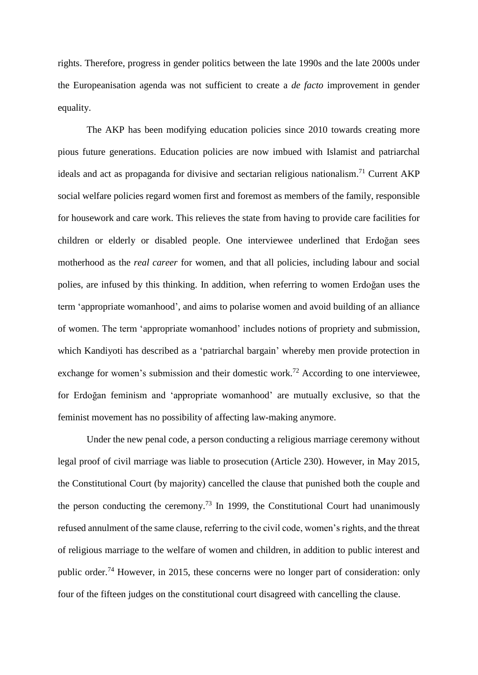rights. Therefore, progress in gender politics between the late 1990s and the late 2000s under the Europeanisation agenda was not sufficient to create a *de facto* improvement in gender equality.

The AKP has been modifying education policies since 2010 towards creating more pious future generations. Education policies are now imbued with Islamist and patriarchal ideals and act as propaganda for divisive and sectarian religious nationalism.<sup>71</sup> Current AKP social welfare policies regard women first and foremost as members of the family, responsible for housework and care work. This relieves the state from having to provide care facilities for children or elderly or disabled people. One interviewee underlined that Erdoğan sees motherhood as the *real career* for women, and that all policies, including labour and social polies, are infused by this thinking. In addition, when referring to women Erdoğan uses the term 'appropriate womanhood', and aims to polarise women and avoid building of an alliance of women. The term 'appropriate womanhood' includes notions of propriety and submission, which Kandiyoti has described as a 'patriarchal bargain' whereby men provide protection in exchange for women's submission and their domestic work.<sup>72</sup> According to one interviewee, for Erdoğan feminism and 'appropriate womanhood' are mutually exclusive, so that the feminist movement has no possibility of affecting law-making anymore.

Under the new penal code, a person conducting a religious marriage ceremony without legal proof of civil marriage was liable to prosecution (Article 230). However, in May 2015, the Constitutional Court (by majority) cancelled the clause that punished both the couple and the person conducting the ceremony.<sup>73</sup> In 1999, the Constitutional Court had unanimously refused annulment of the same clause, referring to the civil code, women's rights, and the threat of religious marriage to the welfare of women and children, in addition to public interest and public order.<sup>74</sup> However, in 2015, these concerns were no longer part of consideration: only four of the fifteen judges on the constitutional court disagreed with cancelling the clause.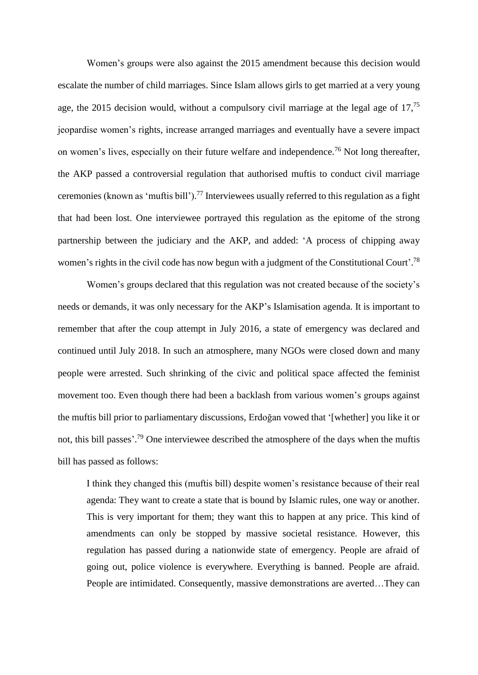Women's groups were also against the 2015 amendment because this decision would escalate the number of child marriages. Since Islam allows girls to get married at a very young age, the 2015 decision would, without a compulsory civil marriage at the legal age of  $17$ ,<sup>75</sup> jeopardise women's rights, increase arranged marriages and eventually have a severe impact on women's lives, especially on their future welfare and independence.<sup>76</sup> Not long thereafter, the AKP passed a controversial regulation that authorised muftis to conduct civil marriage ceremonies (known as 'muftis bill'). <sup>77</sup> Interviewees usually referred to this regulation as a fight that had been lost. One interviewee portrayed this regulation as the epitome of the strong partnership between the judiciary and the AKP, and added: 'A process of chipping away women's rights in the civil code has now begun with a judgment of the Constitutional Court'.<sup>78</sup>

Women's groups declared that this regulation was not created because of the society's needs or demands, it was only necessary for the AKP's Islamisation agenda. It is important to remember that after the coup attempt in July 2016, a state of emergency was declared and continued until July 2018. In such an atmosphere, many NGOs were closed down and many people were arrested. Such shrinking of the civic and political space affected the feminist movement too. Even though there had been a backlash from various women's groups against the muftis bill prior to parliamentary discussions, Erdoğan vowed that '[whether] you like it or not, this bill passes'.<sup>79</sup> One interviewee described the atmosphere of the days when the muftis bill has passed as follows:

I think they changed this (muftis bill) despite women's resistance because of their real agenda: They want to create a state that is bound by Islamic rules, one way or another. This is very important for them; they want this to happen at any price. This kind of amendments can only be stopped by massive societal resistance. However, this regulation has passed during a nationwide state of emergency. People are afraid of going out, police violence is everywhere. Everything is banned. People are afraid. People are intimidated. Consequently, massive demonstrations are averted…They can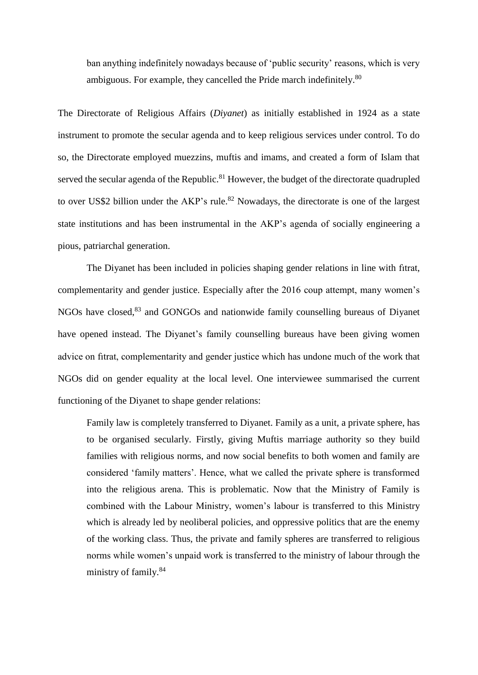ban anything indefinitely nowadays because of 'public security' reasons, which is very ambiguous. For example, they cancelled the Pride march indefinitely.<sup>80</sup>

The Directorate of Religious Affairs (*Diyanet*) as initially established in 1924 as a state instrument to promote the secular agenda and to keep religious services under control. To do so, the Directorate employed muezzins, muftis and imams, and created a form of Islam that served the secular agenda of the Republic.<sup>81</sup> However, the budget of the directorate quadrupled to over US\$2 billion under the AKP's rule.<sup>82</sup> Nowadays, the directorate is one of the largest state institutions and has been instrumental in the AKP's agenda of socially engineering a pious, patriarchal generation.

The Diyanet has been included in policies shaping gender relations in line with fıtrat, complementarity and gender justice. Especially after the 2016 coup attempt, many women's NGOs have closed, <sup>83</sup> and GONGOs and nationwide family counselling bureaus of Diyanet have opened instead. The Diyanet's family counselling bureaus have been giving women advice on fıtrat, complementarity and gender justice which has undone much of the work that NGOs did on gender equality at the local level. One interviewee summarised the current functioning of the Diyanet to shape gender relations:

Family law is completely transferred to Diyanet. Family as a unit, a private sphere, has to be organised secularly. Firstly, giving Muftis marriage authority so they build families with religious norms, and now social benefits to both women and family are considered 'family matters'. Hence, what we called the private sphere is transformed into the religious arena. This is problematic. Now that the Ministry of Family is combined with the Labour Ministry, women's labour is transferred to this Ministry which is already led by neoliberal policies, and oppressive politics that are the enemy of the working class. Thus, the private and family spheres are transferred to religious norms while women's unpaid work is transferred to the ministry of labour through the ministry of family.<sup>84</sup>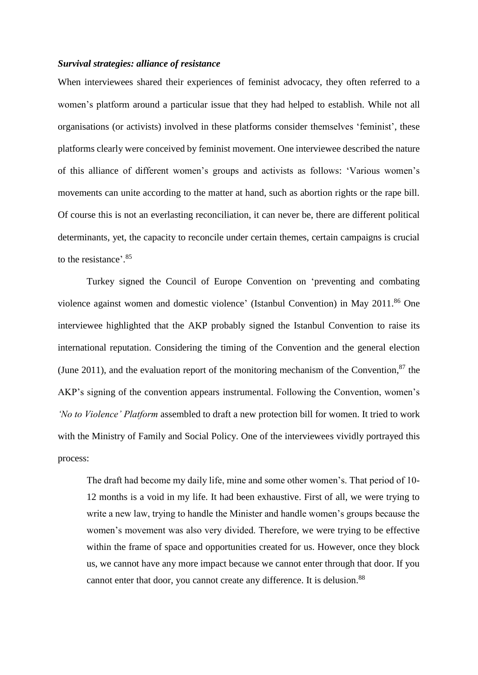#### *Survival strategies: alliance of resistance*

When interviewees shared their experiences of feminist advocacy, they often referred to a women's platform around a particular issue that they had helped to establish. While not all organisations (or activists) involved in these platforms consider themselves 'feminist', these platforms clearly were conceived by feminist movement. One interviewee described the nature of this alliance of different women's groups and activists as follows: 'Various women's movements can unite according to the matter at hand, such as abortion rights or the rape bill. Of course this is not an everlasting reconciliation, it can never be, there are different political determinants, yet, the capacity to reconcile under certain themes, certain campaigns is crucial to the resistance'. 85

Turkey signed the Council of Europe Convention on 'preventing and combating violence against women and domestic violence' (Istanbul Convention) in May 2011. <sup>86</sup> One interviewee highlighted that the AKP probably signed the Istanbul Convention to raise its international reputation. Considering the timing of the Convention and the general election (June 2011), and the evaluation report of the monitoring mechanism of the Convention, $87$  the AKP's signing of the convention appears instrumental. Following the Convention, women's *'No to Violence' Platform* assembled to draft a new protection bill for women. It tried to work with the Ministry of Family and Social Policy. One of the interviewees vividly portrayed this process:

The draft had become my daily life, mine and some other women's. That period of 10- 12 months is a void in my life. It had been exhaustive. First of all, we were trying to write a new law, trying to handle the Minister and handle women's groups because the women's movement was also very divided. Therefore, we were trying to be effective within the frame of space and opportunities created for us. However, once they block us, we cannot have any more impact because we cannot enter through that door. If you cannot enter that door, you cannot create any difference. It is delusion.<sup>88</sup>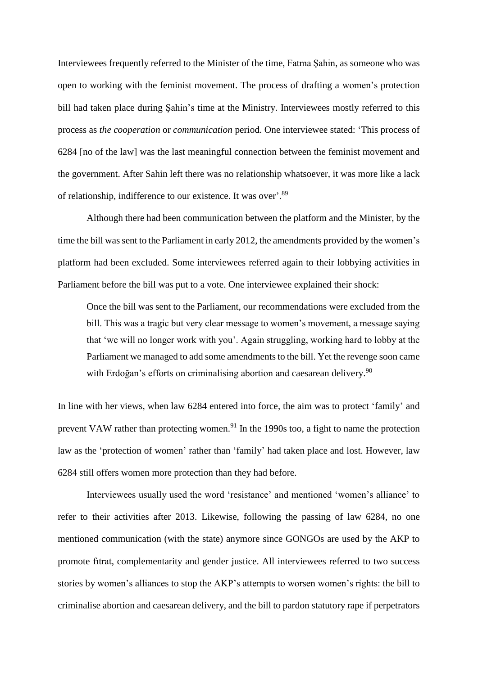Interviewees frequently referred to the Minister of the time, Fatma Şahin, as someone who was open to working with the feminist movement. The process of drafting a women's protection bill had taken place during Şahin's time at the Ministry. Interviewees mostly referred to this process as *the cooperation* or *communication* period. One interviewee stated: 'This process of 6284 [no of the law] was the last meaningful connection between the feminist movement and the government. After Sahin left there was no relationship whatsoever, it was more like a lack of relationship, indifference to our existence. It was over'.<sup>89</sup>

Although there had been communication between the platform and the Minister, by the time the bill was sent to the Parliament in early 2012, the amendments provided by the women's platform had been excluded. Some interviewees referred again to their lobbying activities in Parliament before the bill was put to a vote. One interviewee explained their shock:

Once the bill was sent to the Parliament, our recommendations were excluded from the bill. This was a tragic but very clear message to women's movement, a message saying that 'we will no longer work with you'. Again struggling, working hard to lobby at the Parliament we managed to add some amendments to the bill. Yet the revenge soon came with Erdoğan's efforts on criminalising abortion and caesarean delivery.<sup>90</sup>

In line with her views, when law 6284 entered into force, the aim was to protect 'family' and prevent VAW rather than protecting women.<sup>91</sup> In the 1990s too, a fight to name the protection law as the 'protection of women' rather than 'family' had taken place and lost. However, law 6284 still offers women more protection than they had before.

Interviewees usually used the word 'resistance' and mentioned 'women's alliance' to refer to their activities after 2013. Likewise, following the passing of law 6284, no one mentioned communication (with the state) anymore since GONGOs are used by the AKP to promote fıtrat, complementarity and gender justice. All interviewees referred to two success stories by women's alliances to stop the AKP's attempts to worsen women's rights: the bill to criminalise abortion and caesarean delivery, and the bill to pardon statutory rape if perpetrators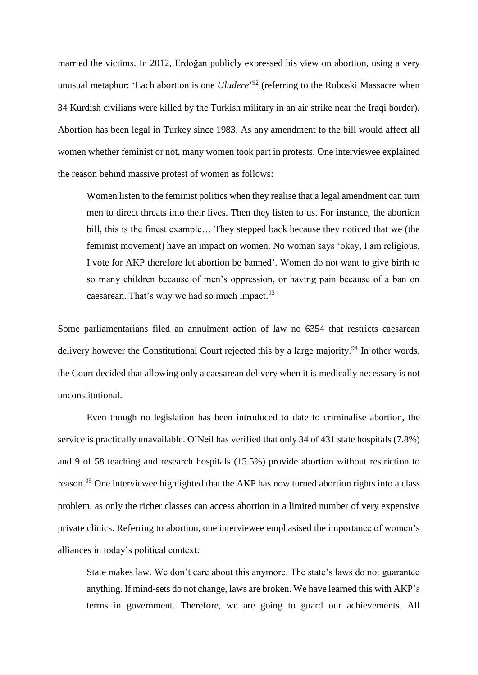married the victims. In 2012, Erdoğan publicly expressed his view on abortion, using a very unusual metaphor: 'Each abortion is one *Uludere*' <sup>92</sup> (referring to the Roboski Massacre when 34 Kurdish civilians were killed by the Turkish military in an air strike near the Iraqi border). Abortion has been legal in Turkey since 1983. As any amendment to the bill would affect all women whether feminist or not, many women took part in protests. One interviewee explained the reason behind massive protest of women as follows:

Women listen to the feminist politics when they realise that a legal amendment can turn men to direct threats into their lives. Then they listen to us. For instance, the abortion bill, this is the finest example… They stepped back because they noticed that we (the feminist movement) have an impact on women. No woman says 'okay, I am religious, I vote for AKP therefore let abortion be banned'. Women do not want to give birth to so many children because of men's oppression, or having pain because of a ban on caesarean. That's why we had so much impact.<sup>93</sup>

Some parliamentarians filed an annulment action of law no 6354 that restricts caesarean delivery however the Constitutional Court rejected this by a large majority.<sup>94</sup> In other words, the Court decided that allowing only a caesarean delivery when it is medically necessary is not unconstitutional.

Even though no legislation has been introduced to date to criminalise abortion, the service is practically unavailable. O'Neil has verified that only 34 of 431 state hospitals (7.8%) and 9 of 58 teaching and research hospitals (15.5%) provide abortion without restriction to reason.<sup>95</sup> One interviewee highlighted that the AKP has now turned abortion rights into a class problem, as only the richer classes can access abortion in a limited number of very expensive private clinics. Referring to abortion, one interviewee emphasised the importance of women's alliances in today's political context:

State makes law. We don't care about this anymore. The state's laws do not guarantee anything. If mind-sets do not change, laws are broken. We have learned this with AKP's terms in government. Therefore, we are going to guard our achievements. All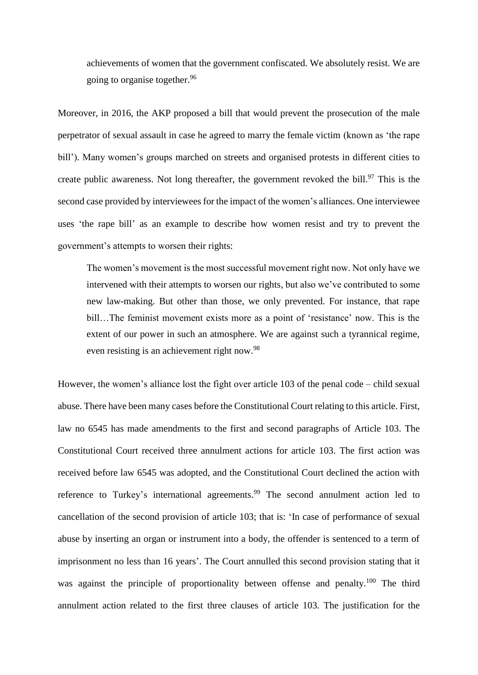achievements of women that the government confiscated. We absolutely resist. We are going to organise together. 96

Moreover, in 2016, the AKP proposed a bill that would prevent the prosecution of the male perpetrator of sexual assault in case he agreed to marry the female victim (known as 'the rape bill'). Many women's groups marched on streets and organised protests in different cities to create public awareness. Not long thereafter, the government revoked the bill. $97$  This is the second case provided by interviewees for the impact of the women's alliances. One interviewee uses 'the rape bill' as an example to describe how women resist and try to prevent the government's attempts to worsen their rights:

The women's movement is the most successful movement right now. Not only have we intervened with their attempts to worsen our rights, but also we've contributed to some new law-making. But other than those, we only prevented. For instance, that rape bill…The feminist movement exists more as a point of 'resistance' now. This is the extent of our power in such an atmosphere. We are against such a tyrannical regime, even resisting is an achievement right now.<sup>98</sup>

However, the women's alliance lost the fight over article 103 of the penal code – child sexual abuse. There have been many cases before the Constitutional Court relating to this article. First, law no 6545 has made amendments to the first and second paragraphs of Article 103. The Constitutional Court received three annulment actions for article 103. The first action was received before law 6545 was adopted, and the Constitutional Court declined the action with reference to Turkey's international agreements.<sup>99</sup> The second annulment action led to cancellation of the second provision of article 103; that is: 'In case of performance of sexual abuse by inserting an organ or instrument into a body, the offender is sentenced to a term of imprisonment no less than 16 years'. The Court annulled this second provision stating that it was against the principle of proportionality between offense and penalty.<sup>100</sup> The third annulment action related to the first three clauses of article 103. The justification for the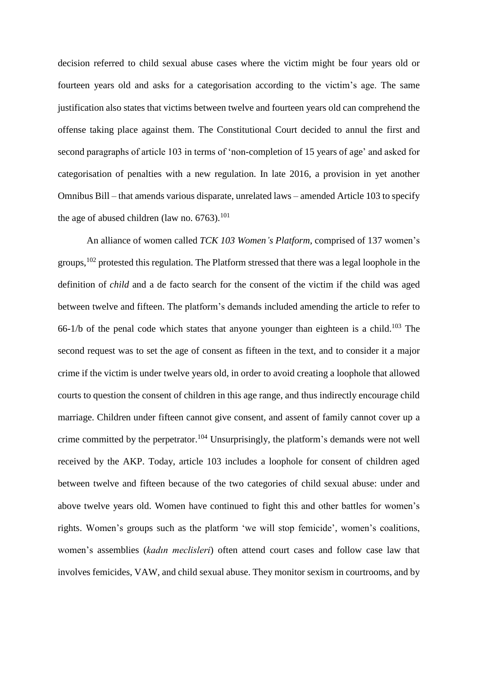decision referred to child sexual abuse cases where the victim might be four years old or fourteen years old and asks for a categorisation according to the victim's age. The same justification also states that victims between twelve and fourteen years old can comprehend the offense taking place against them. The Constitutional Court decided to annul the first and second paragraphs of article 103 in terms of 'non-completion of 15 years of age' and asked for categorisation of penalties with a new regulation. In late 2016, a provision in yet another Omnibus Bill – that amends various disparate, unrelated laws – amended Article 103 to specify the age of abused children (law no.  $6763$ ).<sup>101</sup>

An alliance of women called *TCK 103 Women's Platform*, comprised of 137 women's groups, <sup>102</sup> protested this regulation. The Platform stressed that there was a legal loophole in the definition of *child* and a de facto search for the consent of the victim if the child was aged between twelve and fifteen. The platform's demands included amending the article to refer to 66-1/b of the penal code which states that anyone younger than eighteen is a child.<sup>103</sup> The second request was to set the age of consent as fifteen in the text, and to consider it a major crime if the victim is under twelve years old, in order to avoid creating a loophole that allowed courts to question the consent of children in this age range, and thus indirectly encourage child marriage. Children under fifteen cannot give consent, and assent of family cannot cover up a crime committed by the perpetrator.<sup>104</sup> Unsurprisingly, the platform's demands were not well received by the AKP. Today, article 103 includes a loophole for consent of children aged between twelve and fifteen because of the two categories of child sexual abuse: under and above twelve years old. Women have continued to fight this and other battles for women's rights. Women's groups such as the platform 'we will stop femicide', women's coalitions, women's assemblies (*kadın meclisleri*) often attend court cases and follow case law that involves femicides, VAW, and child sexual abuse. They monitor sexism in courtrooms, and by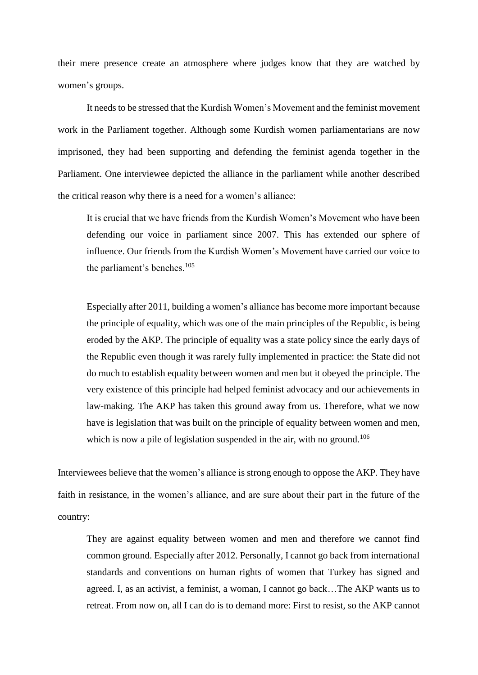their mere presence create an atmosphere where judges know that they are watched by women's groups.

It needs to be stressed that the Kurdish Women's Movement and the feminist movement work in the Parliament together. Although some Kurdish women parliamentarians are now imprisoned, they had been supporting and defending the feminist agenda together in the Parliament. One interviewee depicted the alliance in the parliament while another described the critical reason why there is a need for a women's alliance:

It is crucial that we have friends from the Kurdish Women's Movement who have been defending our voice in parliament since 2007. This has extended our sphere of influence. Our friends from the Kurdish Women's Movement have carried our voice to the parliament's benches.<sup>105</sup>

Especially after 2011, building a women's alliance has become more important because the principle of equality, which was one of the main principles of the Republic, is being eroded by the AKP. The principle of equality was a state policy since the early days of the Republic even though it was rarely fully implemented in practice: the State did not do much to establish equality between women and men but it obeyed the principle. The very existence of this principle had helped feminist advocacy and our achievements in law-making. The AKP has taken this ground away from us. Therefore, what we now have is legislation that was built on the principle of equality between women and men, which is now a pile of legislation suspended in the air, with no ground.<sup>106</sup>

Interviewees believe that the women's alliance is strong enough to oppose the AKP. They have faith in resistance, in the women's alliance, and are sure about their part in the future of the country:

They are against equality between women and men and therefore we cannot find common ground. Especially after 2012. Personally, I cannot go back from international standards and conventions on human rights of women that Turkey has signed and agreed. I, as an activist, a feminist, a woman, I cannot go back…The AKP wants us to retreat. From now on, all I can do is to demand more: First to resist, so the AKP cannot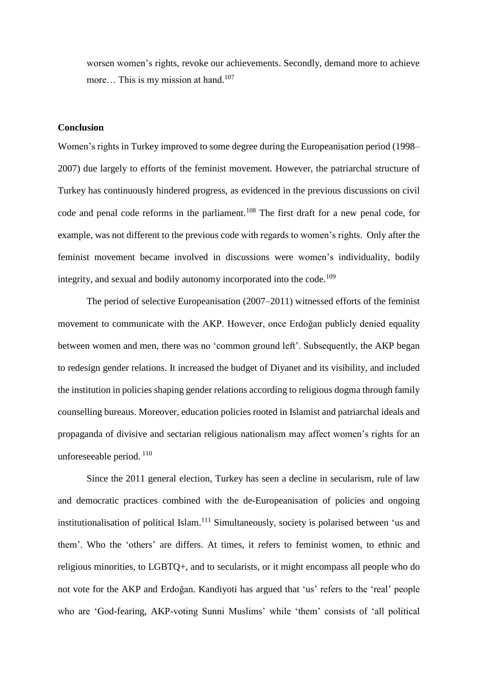worsen women's rights, revoke our achievements. Secondly, demand more to achieve more... This is my mission at hand.<sup>107</sup>

## **Conclusion**

Women's rights in Turkey improved to some degree during the Europeanisation period (1998– 2007) due largely to efforts of the feminist movement. However, the patriarchal structure of Turkey has continuously hindered progress, as evidenced in the previous discussions on civil code and penal code reforms in the parliament. <sup>108</sup> The first draft for a new penal code, for example, was not different to the previous code with regards to women's rights. Only after the feminist movement became involved in discussions were women's individuality, bodily integrity, and sexual and bodily autonomy incorporated into the code.<sup>109</sup>

The period of selective Europeanisation (2007–2011) witnessed efforts of the feminist movement to communicate with the AKP. However, once Erdoğan publicly denied equality between women and men, there was no 'common ground left'. Subsequently, the AKP began to redesign gender relations. It increased the budget of Diyanet and its visibility, and included the institution in policies shaping gender relations according to religious dogma through family counselling bureaus. Moreover, education policies rooted in Islamist and patriarchal ideals and propaganda of divisive and sectarian religious nationalism may affect women's rights for an unforeseeable period. <sup>110</sup>

Since the 2011 general election, Turkey has seen a decline in secularism, rule of law and democratic practices combined with the de-Europeanisation of policies and ongoing institutionalisation of political Islam.<sup>111</sup> Simultaneously, society is polarised between 'us and them'. Who the 'others' are differs. At times, it refers to feminist women, to ethnic and religious minorities, to LGBTQ+, and to secularists, or it might encompass all people who do not vote for the AKP and Erdoğan. Kandiyoti has argued that 'us' refers to the 'real' people who are 'God-fearing, AKP-voting Sunni Muslims' while 'them' consists of 'all political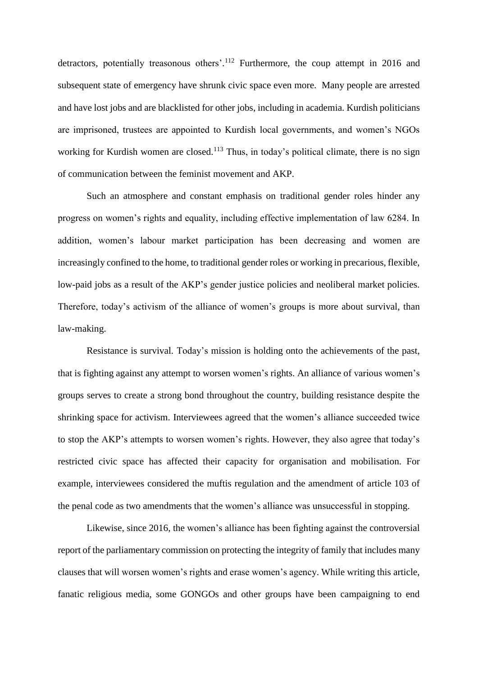detractors, potentially treasonous others'.<sup>112</sup> Furthermore, the coup attempt in 2016 and subsequent state of emergency have shrunk civic space even more. Many people are arrested and have lost jobs and are blacklisted for other jobs, including in academia. Kurdish politicians are imprisoned, trustees are appointed to Kurdish local governments, and women's NGOs working for Kurdish women are closed.<sup>113</sup> Thus, in today's political climate, there is no sign of communication between the feminist movement and AKP.

Such an atmosphere and constant emphasis on traditional gender roles hinder any progress on women's rights and equality, including effective implementation of law 6284. In addition, women's labour market participation has been decreasing and women are increasingly confined to the home, to traditional gender roles or working in precarious, flexible, low-paid jobs as a result of the AKP's gender justice policies and neoliberal market policies. Therefore, today's activism of the alliance of women's groups is more about survival, than law-making.

Resistance is survival. Today's mission is holding onto the achievements of the past, that is fighting against any attempt to worsen women's rights. An alliance of various women's groups serves to create a strong bond throughout the country, building resistance despite the shrinking space for activism. Interviewees agreed that the women's alliance succeeded twice to stop the AKP's attempts to worsen women's rights. However, they also agree that today's restricted civic space has affected their capacity for organisation and mobilisation. For example, interviewees considered the muftis regulation and the amendment of article 103 of the penal code as two amendments that the women's alliance was unsuccessful in stopping.

Likewise, since 2016, the women's alliance has been fighting against the controversial report of the parliamentary commission on protecting the integrity of family that includes many clauses that will worsen women's rights and erase women's agency. While writing this article, fanatic religious media, some GONGOs and other groups have been campaigning to end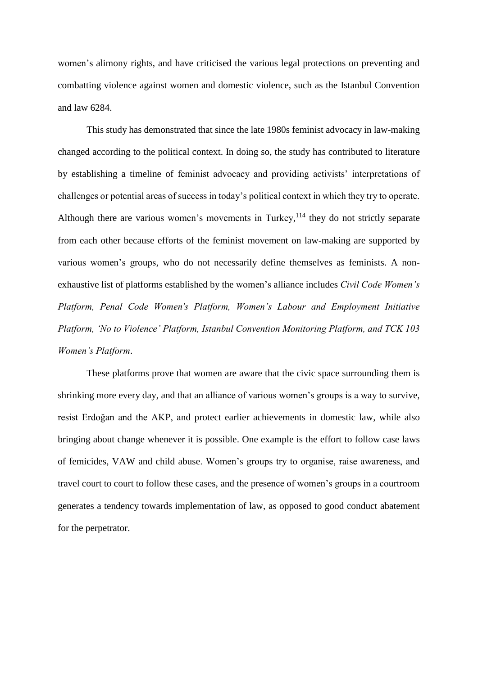women's alimony rights, and have criticised the various legal protections on preventing and combatting violence against women and domestic violence, such as the Istanbul Convention and law 6284.

This study has demonstrated that since the late 1980s feminist advocacy in law-making changed according to the political context. In doing so, the study has contributed to literature by establishing a timeline of feminist advocacy and providing activists' interpretations of challenges or potential areas of success in today's political context in which they try to operate. Although there are various women's movements in Turkey, $114$  they do not strictly separate from each other because efforts of the feminist movement on law-making are supported by various women's groups, who do not necessarily define themselves as feminists. A nonexhaustive list of platforms established by the women's alliance includes *Civil Code Women's Platform, Penal Code Women's Platform, Women's Labour and Employment Initiative Platform, 'No to Violence' Platform, Istanbul Convention Monitoring Platform, and TCK 103 Women's Platform*.

These platforms prove that women are aware that the civic space surrounding them is shrinking more every day, and that an alliance of various women's groups is a way to survive, resist Erdoğan and the AKP, and protect earlier achievements in domestic law, while also bringing about change whenever it is possible. One example is the effort to follow case laws of femicides, VAW and child abuse. Women's groups try to organise, raise awareness, and travel court to court to follow these cases, and the presence of women's groups in a courtroom generates a tendency towards implementation of law, as opposed to good conduct abatement for the perpetrator.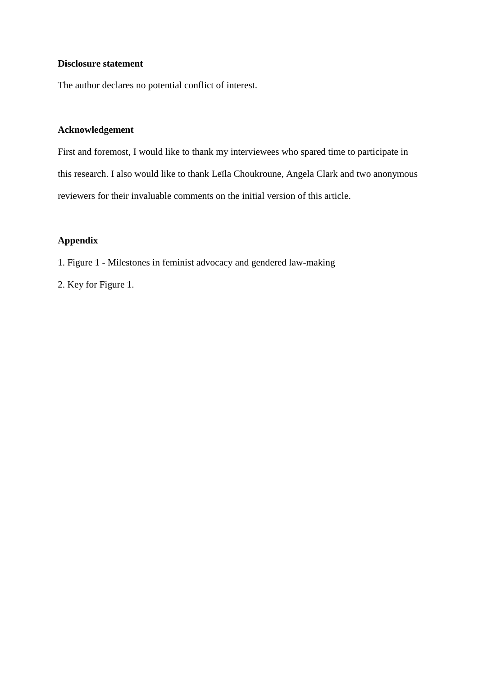## **Disclosure statement**

The author declares no potential conflict of interest.

## **Acknowledgement**

First and foremost, I would like to thank my interviewees who spared time to participate in this research. I also would like to thank Leïla Choukroune, Angela Clark and two anonymous reviewers for their invaluable comments on the initial version of this article.

## **Appendix**

- 1. Figure 1 Milestones in feminist advocacy and gendered law-making
- 2. Key for Figure 1.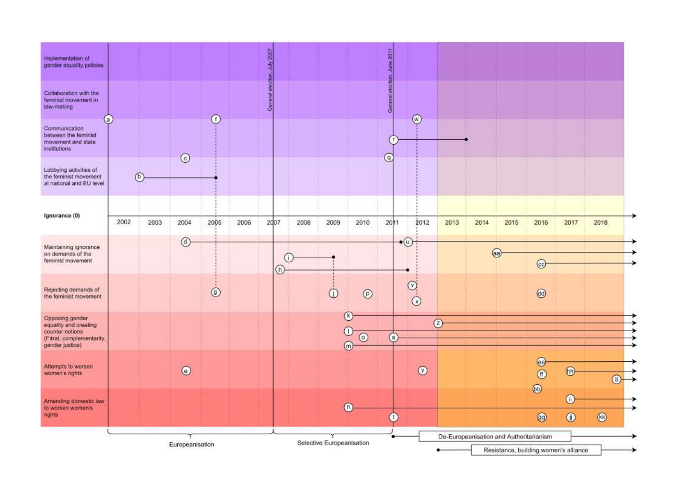| Implementation of<br>gender equality policies                                                               |      |                |                 |            |      | $\frac{200}{20}$       |      |                           |                     | E               |                                                     |                                         |      |      |                                                |               |                |
|-------------------------------------------------------------------------------------------------------------|------|----------------|-----------------|------------|------|------------------------|------|---------------------------|---------------------|-----------------|-----------------------------------------------------|-----------------------------------------|------|------|------------------------------------------------|---------------|----------------|
| Collaboration with the<br>feminist movement in<br>law-making                                                |      |                |                 |            |      | <b>General</b> electio |      |                           |                     | General electio |                                                     |                                         |      |      |                                                |               |                |
| $\left( a\right)$<br>Communication<br>between the feminist<br>movement and state<br>institutions            |      |                |                 | ⊕          |      |                        |      |                           |                     |                 | $\circledcirc$                                      |                                         |      |      |                                                |               |                |
| Lobbying activities of<br>the feminist movement<br>at national and EU level                                 |      | $\circledcirc$ | $\odot$         |            |      |                        |      |                           |                     | $\circ$         |                                                     |                                         |      |      |                                                |               |                |
| Ignorance (0)                                                                                               | 2002 | 2003           | 2004            | 2005       | 2006 | 2007                   | 2008 | 2009                      | 2010                | 2011            | 2012                                                | 2013                                    | 2014 | 2015 | 2016                                           | 2017          | 2018           |
| Maintaining ignorance<br>on demands of the<br>feminist movement                                             |      |                | $\circledcirc$  |            |      |                        |      |                           |                     |                 | $\Theta$                                            |                                         |      |      |                                                |               |                |
|                                                                                                             |      |                |                 |            |      | U.<br>$^\circledR$     |      |                           |                     |                 |                                                     |                                         |      | (a)  | $\left(\mathrm{c}\right)$                      |               |                |
| Rejecting demands of<br>the feminist movement                                                               |      |                |                 | $^{\circ}$ |      |                        |      | ⊙                         | $^{\circ}$          |                 | $^\circled{\scriptscriptstyle 2}$<br>$\circledcirc$ |                                         |      |      | $\circledcirc$                                 |               |                |
| Opposing gender<br>equality and creating<br>counter notions<br>(Fitrat, complementarity,<br>gender justice) |      |                |                 |            |      |                        |      |                           | $\circledcirc$<br>m | s               |                                                     | $\circledcirc$                          |      |      |                                                |               |                |
| Attempts to worsen<br>women's rights                                                                        |      |                | $\odot$         |            |      |                        |      |                           |                     |                 | $\circledcirc$                                      |                                         |      |      | $\circledcirc$<br>$^{\circ}$<br>$\circledcirc$ | (bb)          |                |
| Amending domestic law                                                                                       |      |                |                 |            |      |                        |      |                           |                     |                 |                                                     |                                         |      |      |                                                | $^\copyright$ |                |
| to worsen women's<br>rights                                                                                 |      |                |                 |            |      |                        |      |                           | $\left( n\right)$   | O               |                                                     |                                         |      |      | $\circledcirc$                                 | $^{\circ}$    | $^{\circledR}$ |
|                                                                                                             |      |                | Europeanisation |            |      |                        |      | Selective Europeanisation |                     |                 |                                                     | De-Europeanisation and Authoritarianism |      |      | Resistance, building women's alliance          |               |                |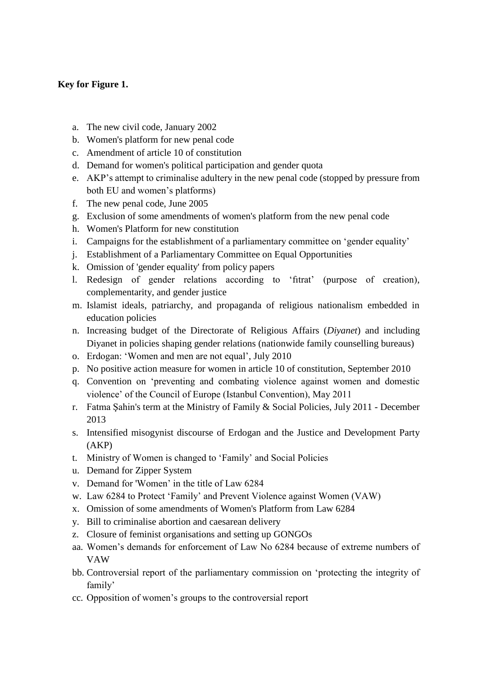# **Key for Figure 1.**

- a. The new civil code, January 2002
- b. Women's platform for new penal code
- c. Amendment of article 10 of constitution
- d. Demand for women's political participation and gender quota
- e. AKP's attempt to criminalise adultery in the new penal code (stopped by pressure from both EU and women's platforms)
- f. The new penal code, June 2005
- g. Exclusion of some amendments of women's platform from the new penal code
- h. Women's Platform for new constitution
- i. Campaigns for the establishment of a parliamentary committee on 'gender equality'
- j. Establishment of a Parliamentary Committee on Equal Opportunities
- k. Omission of 'gender equality' from policy papers
- l. Redesign of gender relations according to 'fıtrat' (purpose of creation), complementarity, and gender justice
- m. Islamist ideals, patriarchy, and propaganda of religious nationalism embedded in education policies
- n. Increasing budget of the Directorate of Religious Affairs (*Diyanet*) and including Diyanet in policies shaping gender relations (nationwide family counselling bureaus)
- o. Erdogan: 'Women and men are not equal', July 2010
- p. No positive action measure for women in article 10 of constitution, September 2010
- q. Convention on 'preventing and combating violence against women and domestic violence' of the Council of Europe (Istanbul Convention), May 2011
- r. Fatma Şahin's term at the Ministry of Family & Social Policies, July 2011 December 2013
- s. Intensified misogynist discourse of Erdogan and the Justice and Development Party (AKP)
- t. Ministry of Women is changed to 'Family' and Social Policies
- u. Demand for Zipper System
- v. Demand for 'Women' in the title of Law 6284
- w. Law 6284 to Protect 'Family' and Prevent Violence against Women (VAW)
- x. Omission of some amendments of Women's Platform from Law 6284
- y. Bill to criminalise abortion and caesarean delivery
- z. Closure of feminist organisations and setting up GONGOs
- aa. Women's demands for enforcement of Law No 6284 because of extreme numbers of VAW
- bb. Controversial report of the parliamentary commission on 'protecting the integrity of family'
- cc. Opposition of women's groups to the controversial report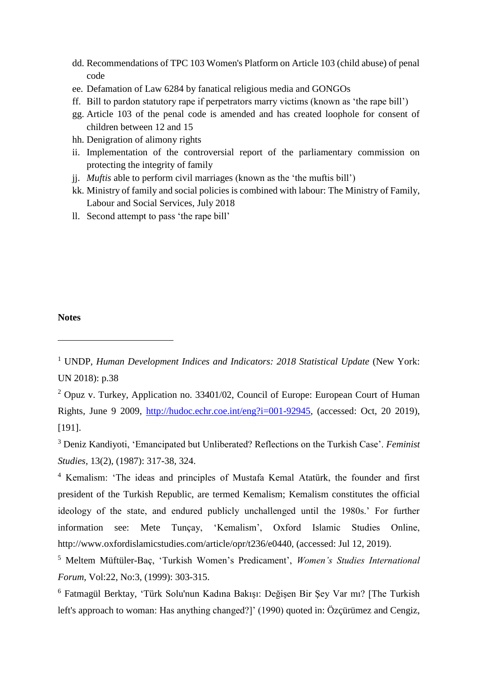- dd. Recommendations of TPC 103 Women's Platform on Article 103 (child abuse) of penal code
- ee. Defamation of Law 6284 by fanatical religious media and GONGOs
- ff. Bill to pardon statutory rape if perpetrators marry victims (known as 'the rape bill')
- gg. Article 103 of the penal code is amended and has created loophole for consent of children between 12 and 15
- hh. Denigration of alimony rights
- ii. Implementation of the controversial report of the parliamentary commission on protecting the integrity of family
- jj. *Muftis* able to perform civil marriages (known as the 'the muftis bill')
- kk. Ministry of family and social policies is combined with labour: The Ministry of Family, Labour and Social Services, July 2018
- ll. Second attempt to pass 'the rape bill'

## **Notes**

-

<sup>2</sup> Opuz v. Turkey, Application no. 33401/02, Council of Europe: European Court of Human Rights, June 9 2009, [http://hudoc.echr.coe.int/eng?i=001-92945,](http://hudoc.echr.coe.int/eng?i=001-92945) (accessed: Oct, 20 2019), [191].

<sup>3</sup> Deniz Kandiyoti, 'Emancipated but Unliberated? Reflections on the Turkish Case'. *Feminist Studies,* 13(2), (1987): 317-38, 324.

<sup>4</sup> Kemalism: 'The ideas and principles of Mustafa Kemal Atatürk, the founder and first president of the Turkish Republic, are termed Kemalism; Kemalism constitutes the official ideology of the state, and endured publicly unchallenged until the 1980s.' For further information see: Mete Tunçay, 'Kemalism', Oxford Islamic Studies Online, http://www.oxfordislamicstudies.com/article/opr/t236/e0440, (accessed: Jul 12, 2019).

<sup>5</sup> Meltem Müftüler-Baç, 'Turkish Women's Predicament', *Women's Studies International Forum,* Vol:22, No:3, (1999): 303-315.

<sup>6</sup> Fatmagül Berktay, 'Türk Solu'nun Kadına Bakışı: Değişen Bir Şey Var mı? [The Turkish left's approach to woman: Has anything changed?]' (1990) quoted in: Özçürümez and Cengiz,

<sup>&</sup>lt;sup>1</sup> UNDP, *Human Development Indices and Indicators: 2018 Statistical Update* (New York: UN 2018): p.38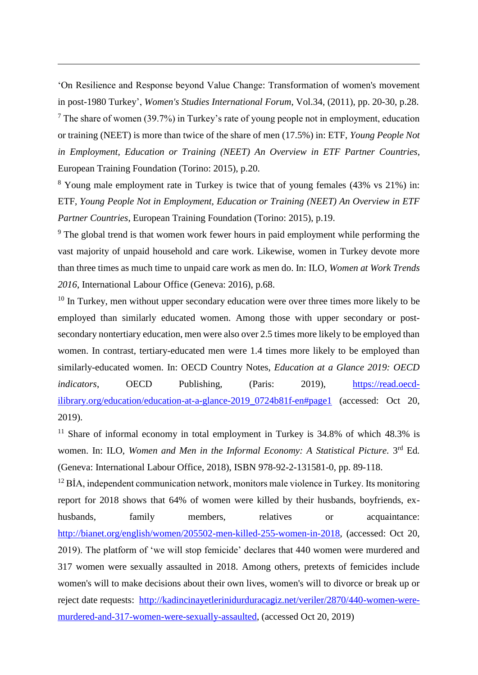'On Resilience and Response beyond Value Change: Transformation of women's movement in post-1980 Turkey', *Women's Studies International Forum*, Vol.34, (2011), pp. 20-30, p.28.

-

 $<sup>7</sup>$  The share of women (39.7%) in Turkey's rate of young people not in employment, education</sup> or training (NEET) is more than twice of the share of men (17.5%) in: ETF, *Young People Not in Employment, Education or Training (NEET) An Overview in ETF Partner Countries*, European Training Foundation (Torino: 2015), p.20.

<sup>8</sup> Young male employment rate in Turkey is twice that of young females (43% vs 21%) in: ETF, *Young People Not in Employment, Education or Training (NEET) An Overview in ETF Partner Countries*, European Training Foundation (Torino: 2015), p.19.

<sup>9</sup> The global trend is that women work fewer hours in paid employment while performing the vast majority of unpaid household and care work. Likewise, women in Turkey devote more than three times as much time to unpaid care work as men do. In: ILO, *Women at Work Trends 2016*, International Labour Office (Geneva: 2016), p.68.

 $10$  In Turkey, men without upper secondary education were over three times more likely to be employed than similarly educated women. Among those with upper secondary or postsecondary nontertiary education, men were also over 2.5 times more likely to be employed than women. In contrast, tertiary-educated men were 1.4 times more likely to be employed than similarly-educated women. In: OECD Country Notes, *Education at a Glance 2019: OECD indicators*, **OECD** Publishing, (Paris: 2019), [https://read.oecd](https://read.oecd-ilibrary.org/education/education-at-a-glance-2019_0724b81f-en#page1)ilibrary.org/education/education-at-a-glance-2019 0724b81f-en#page1 (accessed: Oct 20, 2019).

<sup>11</sup> Share of informal economy in total employment in Turkey is  $34.8\%$  of which  $48.3\%$  is women. In: ILO, Women and Men in the Informal Economy: A Statistical Picture. 3<sup>rd</sup> Ed. (Geneva: International Labour Office, 2018), ISBN 978-92-2-131581-0, pp. 89-118.

<sup>12</sup> BİA, independent communication network, monitors male violence in Turkey. Its monitoring report for 2018 shows that 64% of women were killed by their husbands, boyfriends, exhusbands, family members, relatives or acquaintance: [http://bianet.org/english/women/205502-men-killed-255-women-in-2018,](http://bianet.org/english/women/205502-men-killed-255-women-in-2018) (accessed: Oct 20, 2019). The platform of 'we will stop femicide' declares that 440 women were murdered and 317 women were sexually assaulted in 2018. Among others, pretexts of femicides include women's will to make decisions about their own lives, women's will to divorce or break up or reject date requests: [http://kadincinayetlerinidurduracagiz.net/veriler/2870/440-women-were](http://kadincinayetlerinidurduracagiz.net/veriler/2870/440-women-were-murdered-and-317-women-were-sexually-assaulted)[murdered-and-317-women-were-sexually-assaulted,](http://kadincinayetlerinidurduracagiz.net/veriler/2870/440-women-were-murdered-and-317-women-were-sexually-assaulted) (accessed Oct 20, 2019)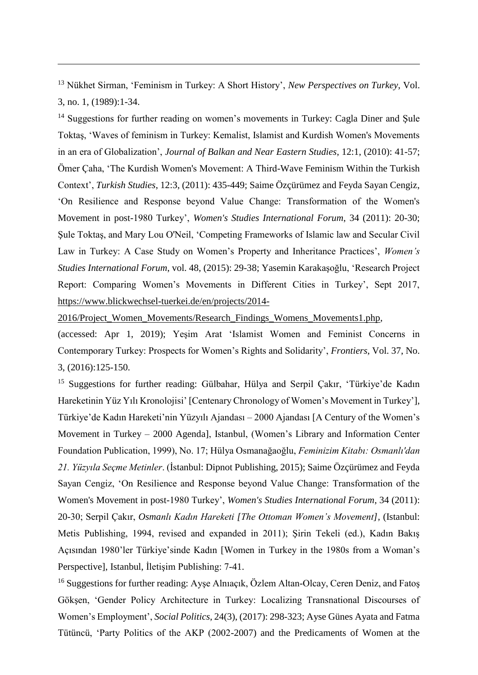<sup>13</sup> Nükhet Sirman, 'Feminism in Turkey: A Short History', *New Perspectives on Turkey*, Vol. 3, no. 1, (1989):1-34.

-

<sup>14</sup> Suggestions for further reading on women's movements in Turkey: Cagla Diner and Sule Toktaş, 'Waves of feminism in Turkey: Kemalist, Islamist and Kurdish Women's Movements in an era of Globalization', *Journal of Balkan and Near Eastern Studies*, 12:1, (2010): 41-57; Ömer Çaha, 'The Kurdish Women's Movement: A Third-Wave Feminism Within the Turkish Context', *Turkish Studies*, 12:3, (2011): 435-449; Saime Özçürümez and Feyda Sayan Cengiz, 'On Resilience and Response beyond Value Change: Transformation of the Women's Movement in post-1980 Turkey', *Women's Studies International Forum*, 34 (2011): 20-30; Şule Toktaş, and Mary Lou O'Neil, 'Competing Frameworks of Islamic law and Secular Civil Law in Turkey: A Case Study on Women's Property and Inheritance Practices', *Women's Studies International Forum*, vol. 48, (2015): 29-38; Yasemin Karakaşoğlu, 'Research Project Report: Comparing Women's Movements in Different Cities in Turkey', Sept 2017, [https://www.blickwechsel-tuerkei.de/en/projects/2014-](https://www.blickwechsel-tuerkei.de/en/projects/2014-2016/Project_Women_Movements/Research_Findings_Womens_Movements1.php)

[2016/Project\\_Women\\_Movements/Research\\_Findings\\_Womens\\_Movements1.php,](https://www.blickwechsel-tuerkei.de/en/projects/2014-2016/Project_Women_Movements/Research_Findings_Womens_Movements1.php)

(accessed: Apr 1, 2019); Yeşim Arat 'Islamist Women and Feminist Concerns in Contemporary Turkey: Prospects for Women's Rights and Solidarity', *Frontiers*, Vol. 37, No. 3, (2016):125-150.

<sup>15</sup> Suggestions for further reading: Gülbahar, Hülya and Serpil Çakır, 'Türkiye'de Kadın Hareketinin Yüz Yılı Kronolojisi' [Centenary Chronology of Women's Movement in Turkey'], Türkiye'de Kadın Hareketi'nin Yüzyılı Ajandası – 2000 Ajandası [A Century of the Women's Movement in Turkey – 2000 Agenda], Istanbul, (Women's Library and Information Center Foundation Publication, 1999), No. 17; Hülya Osmanağaoğlu, *Feminizim Kitabı: Osmanlı'dan 21. Yüzyıla Seçme Metinler*. (İstanbul: Dipnot Publishing, 2015); Saime Özçürümez and Feyda Sayan Cengiz, 'On Resilience and Response beyond Value Change: Transformation of the Women's Movement in post-1980 Turkey', *Women's Studies International Forum*, 34 (2011): 20-30; Serpil Çakır, *Osmanlı Kadın Hareketi [The Ottoman Women's Movement],* (Istanbul: Metis Publishing, 1994, revised and expanded in 2011); Şirin Tekeli (ed.), Kadın Bakış Açısından 1980'ler Türkiye'sinde Kadın [Women in Turkey in the 1980s from a Woman's Perspective], Istanbul, İletişim Publishing: 7-41.

<sup>16</sup> Suggestions for further reading: Ayşe Almaçık, Özlem Altan-Olcay, Ceren Deniz, and Fatoş Gökşen, 'Gender Policy Architecture in Turkey: Localizing Transnational Discourses of Women's Employment', *Social Politics*, 24(3), (2017): 298-323; Ayse Günes Ayata and Fatma Tütüncü, 'Party Politics of the AKP (2002-2007) and the Predicaments of Women at the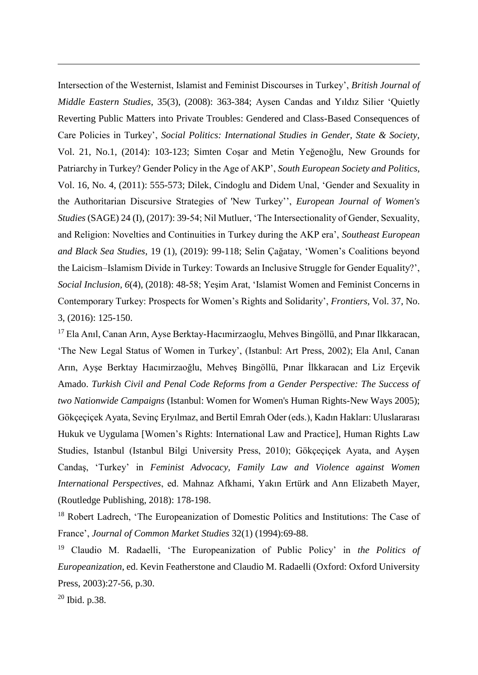Intersection of the Westernist, Islamist and Feminist Discourses in Turkey', *British Journal of Middle Eastern Studies*, 35(3), (2008): 363-384; Aysen Candas and Yıldız Silier 'Quietly Reverting Public Matters into Private Troubles: Gendered and Class-Based Consequences of Care Policies in Turkey', *Social Politics: International Studies in Gender, State & Society,* Vol. 21, No.1, (2014): 103-123; Simten Coşar and Metin Yeğenoğlu, New Grounds for Patriarchy in Turkey? Gender Policy in the Age of AKP', *South European Society and Politics*, Vol. 16, No. 4, (2011): 555-573; Dilek, Cindoglu and Didem Unal, 'Gender and Sexuality in the Authoritarian Discursive Strategies of 'New Turkey'', *European Journal of Women's Studies* (SAGE) 24 (I), (2017): 39-54; Nil Mutluer, 'The Intersectionality of Gender, Sexuality, and Religion: Novelties and Continuities in Turkey during the AKP era', *Southeast European and Black Sea Studies*, 19 (1), (2019): 99-118; Selin Çağatay, 'Women's Coalitions beyond the Laicism–Islamism Divide in Turkey: Towards an Inclusive Struggle for Gender Equality?', *Social Inclusion, 6*(4), (2018): 48-58; Yeşim Arat, 'Islamist Women and Feminist Concerns in Contemporary Turkey: Prospects for Women's Rights and Solidarity', *Frontiers*, Vol. 37, No. 3, (2016): 125-150.

<sup>17</sup> Ela Anıl, Canan Arın, Ayse Berktay-Hacımirzaoglu, Mehves Bingöllü, and Pınar Ilkkaracan, 'The New Legal Status of Women in Turkey', (Istanbul: Art Press, 2002); Ela Anıl, Canan Arın, Ayşe Berktay Hacımirzaoğlu, Mehveş Bingöllü, Pınar İlkkaracan and Liz Erçevik Amado. *Turkish Civil and Penal Code Reforms from a Gender Perspective: The Success of two Nationwide Campaigns* (Istanbul: Women for Women's Human Rights-New Ways 2005); Gökçeçiçek Ayata, Sevinç Eryılmaz, and Bertil Emrah Oder (eds.), Kadın Hakları: Uluslararası Hukuk ve Uygulama [Women's Rights: International Law and Practice], Human Rights Law Studies, Istanbul (Istanbul Bilgi University Press, 2010); Gökçeçiçek Ayata, and Ayşen Candaş, 'Turkey' in *Feminist Advocacy, Family Law and Violence against Women International Perspectives*, ed. Mahnaz Afkhami, Yakın Ertürk and Ann Elizabeth Mayer, (Routledge Publishing, 2018): 178-198.

<sup>18</sup> Robert Ladrech, 'The Europeanization of Domestic Politics and Institutions: The Case of France', *Journal of Common Market Studies* 32(1) (1994):69-88.

<sup>19</sup> Claudio M. Radaelli, 'The Europeanization of Public Policy' in *the Politics of Europeanization*, ed. Kevin Featherstone and Claudio M. Radaelli (Oxford: Oxford University Press, 2003):27-56, p.30.

<sup>20</sup> Ibid. p.38.

-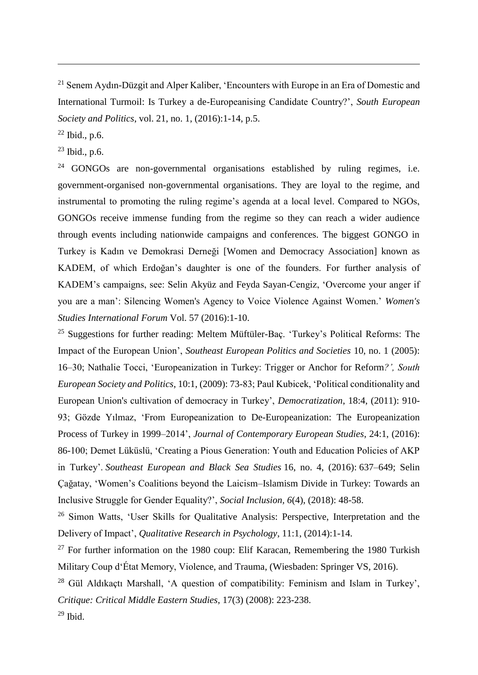<sup>21</sup> Senem Aydın-Düzgit and Alper Kaliber, 'Encounters with Europe in an Era of Domestic and International Turmoil: Is Turkey a de-Europeanising Candidate Country?', *South European Society and Politics*, vol. 21, no. 1, (2016):1-14, p.5.

 $22$  Ibid., p.6.

-

 $23$  Ibid., p.6.

 $24$  GONGOs are non-governmental organisations established by ruling regimes, i.e. government-organised non-governmental organisations. They are loyal to the regime, and instrumental to promoting the ruling regime's agenda at a local level. Compared to NGOs, GONGOs receive immense funding from the regime so they can reach a wider audience through events including nationwide campaigns and conferences. The biggest GONGO in Turkey is Kadın ve Demokrasi Derneği [Women and Democracy Association] known as KADEM, of which Erdoğan's daughter is one of the founders. For further analysis of KADEM's campaigns, see: Selin Akyüz and Feyda Sayan-Cengiz, 'Overcome your anger if you are a man': Silencing Women's Agency to Voice Violence Against Women.' *Women's Studies International Forum* Vol. 57 (2016):1-10.

 $25$  Suggestions for further reading: Meltem Müftüler-Baç. 'Turkey's Political Reforms: The Impact of the European Union', *Southeast European Politics and Societies* 10, no. 1 (2005): 16–30; Nathalie Tocci, 'Europeanization in Turkey: Trigger or Anchor for Reform*?', South European Society and Politics*, 10:1, (2009): 73-83; Paul Kubicek, 'Political conditionality and European Union's cultivation of democracy in Turkey', *Democratization*, 18:4, (2011): 910- 93; Gözde Yılmaz, 'From Europeanization to De-Europeanization: The Europeanization Process of Turkey in 1999–2014', *Journal of Contemporary European Studies*, 24:1, (2016): 86-100; Demet Lüküslü, 'Creating a Pious Generation: Youth and Education Policies of AKP in Turkey'. *Southeast European and Black Sea Studies* 16, no. 4, (2016): 637–649; Selin Çağatay, 'Women's Coalitions beyond the Laicism–Islamism Divide in Turkey: Towards an Inclusive Struggle for Gender Equality?', *Social Inclusion, 6*(4), (2018): 48-58.

<sup>26</sup> Simon Watts, 'User Skills for Qualitative Analysis: Perspective, Interpretation and the Delivery of Impact', *Qualitative Research in Psychology*, 11:1, (2014):1-14.

 $27$  For further information on the 1980 coup: Elif Karacan, Remembering the 1980 Turkish Military Coup d'État Memory, Violence, and Trauma, (Wiesbaden: Springer VS, 2016).

<sup>28</sup> Gül Aldıkaçtı Marshall, 'A question of compatibility: Feminism and Islam in Turkey', *Critique: Critical Middle Eastern Studies*, 17(3) (2008): 223-238.  $29$  Ibid.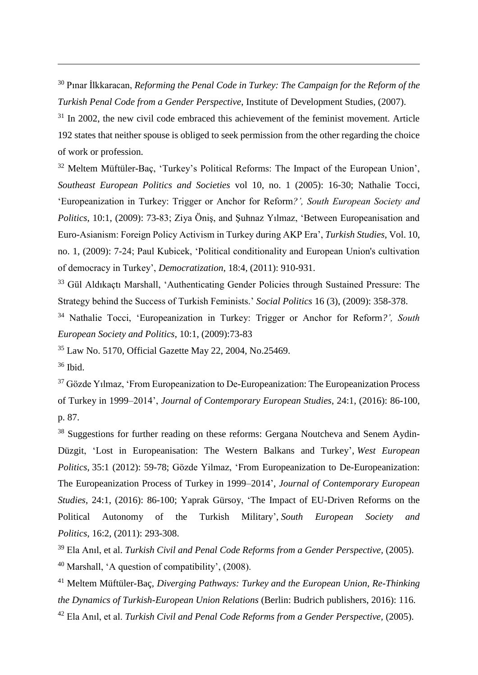<sup>30</sup> Pınar İlkkaracan, *Reforming the Penal Code in Turkey: The Campaign for the Reform of the Turkish Penal Code from a Gender Perspective*, Institute of Development Studies, (2007).

 $31$  In 2002, the new civil code embraced this achievement of the feminist movement. Article 192 states that neither spouse is obliged to seek permission from the other regarding the choice of work or profession.

<sup>32</sup> Meltem Müftüler-Bac, 'Turkey's Political Reforms: The Impact of the European Union', *Southeast European Politics and Societies* vol 10, no. 1 (2005): 16-30; Nathalie Tocci, 'Europeanization in Turkey: Trigger or Anchor for Reform*?', South European Society and Politics*, 10:1, (2009): 73-83; Ziya Öniş, and Şuhnaz Yılmaz, 'Between Europeanisation and Euro-Asianism: Foreign Policy Activism in Turkey during AKP Era', *Turkish Studies*, Vol. 10, no. 1, (2009): 7-24; Paul Kubicek, 'Political conditionality and European Union's cultivation of democracy in Turkey', *Democratization*, 18:4, (2011): 910-931.

<sup>33</sup> Gül Aldıkaçtı Marshall, 'Authenticating Gender Policies through Sustained Pressure: The Strategy behind the Success of Turkish Feminists.' *Social Politics* 16 (3), (2009): 358-378.

<sup>34</sup> Nathalie Tocci, 'Europeanization in Turkey: Trigger or Anchor for Reform*?', South European Society and Politics*, 10:1, (2009):73-83

<sup>35</sup> Law No. 5170, Official Gazette May 22, 2004, No.25469.

<sup>36</sup> Ibid.

-

 $37$  Gözde Yılmaz, 'From Europeanization to De-Europeanization: The Europeanization Process of Turkey in 1999–2014', *Journal of Contemporary European Studies*, 24:1, (2016): 86-100, p. 87.

<sup>38</sup> Suggestions for further reading on these reforms: Gergana Noutcheva and Senem Aydin-Düzgit, 'Lost in Europeanisation: The Western Balkans and Turkey', *West European Politics*, 35:1 (2012): 59-78; Gözde Yilmaz, 'From Europeanization to De-Europeanization: The Europeanization Process of Turkey in 1999–2014', *Journal of Contemporary European Studies*, 24:1, (2016): 86-100; Yaprak Gürsoy, 'The Impact of EU-Driven Reforms on the Political Autonomy of the Turkish Military', *South European Society and Politics*, 16:2, (2011): 293-308.

<sup>39</sup> Ela Anıl, et al. *Turkish Civil and Penal Code Reforms from a Gender Perspective,* (2005). <sup>40</sup> Marshall, 'A question of compatibility', (2008).

<sup>41</sup> Meltem Müftüler-Baç*, Diverging Pathways: Turkey and the European Union, Re-Thinking the Dynamics of Turkish-European Union Relations* (Berlin: Budrich publishers, 2016): 116. <sup>42</sup> Ela Anıl, et al. *Turkish Civil and Penal Code Reforms from a Gender Perspective,* (2005).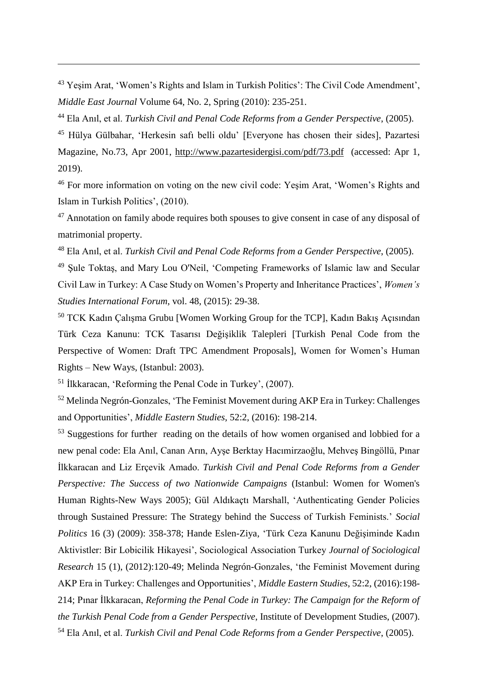<sup>43</sup> Yeşim Arat, 'Women's Rights and Islam in Turkish Politics': The Civil Code Amendment', *Middle East Journal* Volume 64, No. 2, Spring (2010): 235-251.

<sup>44</sup> Ela Anıl, et al. *Turkish Civil and Penal Code Reforms from a Gender Perspective*, (2005).

<sup>45</sup> Hülya Gülbahar, 'Herkesin safı belli oldu' [Everyone has chosen their sides], Pazartesi Magazine, No.73, Apr 2001,<http://www.pazartesidergisi.com/pdf/73.pdf>(accessed: Apr 1, 2019).

<sup>46</sup> For more information on voting on the new civil code: Yeşim Arat, 'Women's Rights and Islam in Turkish Politics', (2010).

 $47$  Annotation on family abode requires both spouses to give consent in case of any disposal of matrimonial property.

<sup>48</sup> Ela Anıl, et al. *Turkish Civil and Penal Code Reforms from a Gender Perspective*, (2005).

<sup>49</sup> Şule Toktaş, and Mary Lou O'Neil, 'Competing Frameworks of Islamic law and Secular Civil Law in Turkey: A Case Study on Women's Property and Inheritance Practices', *Women's Studies International Forum*, vol. 48, (2015): 29-38.

<sup>50</sup> TCK Kadın Çalışma Grubu [Women Working Group for the TCP], Kadın Bakış Açısından Türk Ceza Kanunu: TCK Tasarısı Değişiklik Talepleri [Turkish Penal Code from the Perspective of Women: Draft TPC Amendment Proposals], Women for Women's Human Rights – New Ways, (Istanbul: 2003).

<sup>51</sup> İlkkaracan, 'Reforming the Penal Code in Turkey', (2007).

-

<sup>52</sup> Melinda Negrón-Gonzales, 'The Feminist Movement during AKP Era in Turkey: Challenges and Opportunities', *Middle Eastern Studies*, 52:2, (2016): 198-214.

<sup>53</sup> Suggestions for further reading on the details of how women organised and lobbied for a new penal code: Ela Anıl, Canan Arın, Ayşe Berktay Hacımirzaoğlu, Mehveş Bingöllü, Pınar İlkkaracan and Liz Erçevik Amado. *Turkish Civil and Penal Code Reforms from a Gender Perspective: The Success of two Nationwide Campaigns* (Istanbul: Women for Women's Human Rights-New Ways 2005); Gül Aldıkaçtı Marshall, 'Authenticating Gender Policies through Sustained Pressure: The Strategy behind the Success of Turkish Feminists.' *Social Politics* 16 (3) (2009): 358-378; Hande Eslen-Ziya, 'Türk Ceza Kanunu Değişiminde Kadın Aktivistler: Bir Lobicilik Hikayesi', Sociological Association Turkey *Journal of Sociological Research* 15 (1), (2012):120-49; Melinda Negrón-Gonzales, 'the Feminist Movement during AKP Era in Turkey: Challenges and Opportunities', *Middle Eastern Studies*, 52:2, (2016):198- 214; Pınar İlkkaracan, *Reforming the Penal Code in Turkey: The Campaign for the Reform of the Turkish Penal Code from a Gender Perspective*, Institute of Development Studies, (2007). <sup>54</sup> Ela Anıl, et al. *Turkish Civil and Penal Code Reforms from a Gender Perspective*, (2005).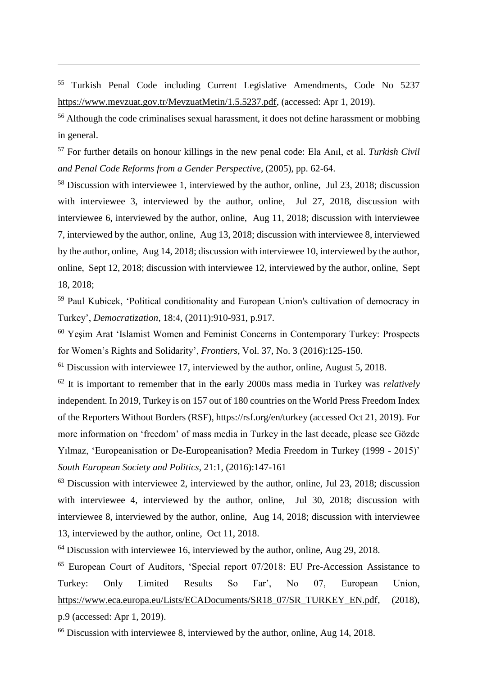<sup>55</sup> Turkish Penal Code including Current Legislative Amendments, Code No 5237 [https://www.mevzuat.gov.tr/MevzuatMetin/1.5.5237.pdf,](https://www.mevzuat.gov.tr/MevzuatMetin/1.5.5237.pdf) (accessed: Apr 1, 2019).

-

<sup>56</sup> Although the code criminalises sexual harassment, it does not define harassment or mobbing in general.

<sup>57</sup> For further details on honour killings in the new penal code: Ela Anıl, et al. *Turkish Civil and Penal Code Reforms from a Gender Perspective*, (2005), pp. 62-64.

<sup>58</sup> Discussion with interviewee 1, interviewed by the author, online, Jul 23, 2018; discussion with interviewee 3, interviewed by the author, online, Jul 27, 2018, discussion with interviewee 6, interviewed by the author, online, Aug 11, 2018; discussion with interviewee 7, interviewed by the author, online, Aug 13, 2018; discussion with interviewee 8, interviewed by the author, online, Aug 14, 2018; discussion with interviewee 10, interviewed by the author, online, Sept 12, 2018; discussion with interviewee 12, interviewed by the author, online, Sept 18, 2018;

<sup>59</sup> Paul Kubicek, 'Political conditionality and European Union's cultivation of democracy in Turkey', *Democratization*, 18:4, (2011):910-931, p.917.

<sup>60</sup> Yeşim Arat 'Islamist Women and Feminist Concerns in Contemporary Turkey: Prospects for Women's Rights and Solidarity', *Frontiers*, Vol. 37, No. 3 (2016):125-150.

 $<sup>61</sup>$  Discussion with interviewee 17, interviewed by the author, online, August 5, 2018.</sup>

<sup>62</sup> It is important to remember that in the early 2000s mass media in Turkey was *relatively* independent. In 2019, Turkey is on 157 out of 180 countries on the World Press Freedom Index of the Reporters Without Borders (RSF), https://rsf.org/en/turkey (accessed Oct 21, 2019). For more information on 'freedom' of mass media in Turkey in the last decade, please see Gözde Yılmaz, 'Europeanisation or De-Europeanisation? Media Freedom in Turkey (1999 - 2015)' *South European Society and Politics*, 21:1, (2016):147-161

 $63$  Discussion with interviewee 2, interviewed by the author, online, Jul 23, 2018; discussion with interviewee 4, interviewed by the author, online, Jul 30, 2018; discussion with interviewee 8, interviewed by the author, online, Aug 14, 2018; discussion with interviewee 13, interviewed by the author, online, Oct 11, 2018.

<sup>64</sup> Discussion with interviewee 16, interviewed by the author, online, Aug 29, 2018.

<sup>65</sup> European Court of Auditors, 'Special report 07/2018: EU Pre-Accession Assistance to Turkey: Only Limited Results So Far', No 07, European Union, [https://www.eca.europa.eu/Lists/ECADocuments/SR18\\_07/SR\\_TURKEY\\_EN.pdf,](https://www.eca.europa.eu/Lists/ECADocuments/SR18_07/SR_TURKEY_EN.pdf) (2018), p.9 (accessed: Apr 1, 2019).

<sup>66</sup> Discussion with interviewee 8, interviewed by the author, online, Aug 14, 2018.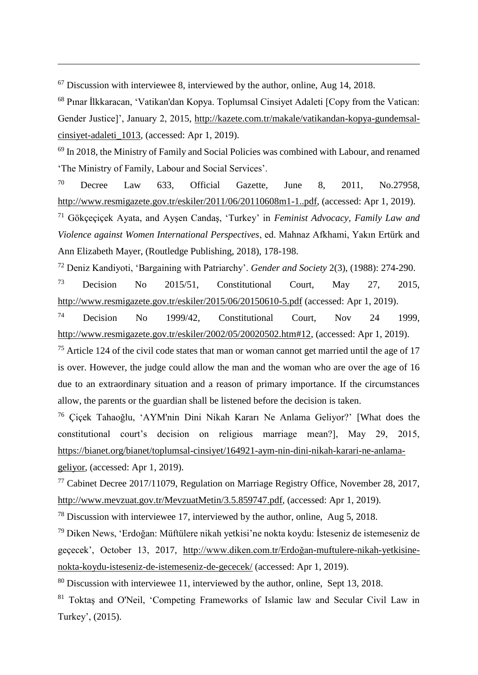<sup>67</sup> Discussion with interviewee 8, interviewed by the author, online, Aug 14, 2018.

-

<sup>68</sup> Pınar İlkkaracan, 'Vatikan'dan Kopya. Toplumsal Cinsiyet Adaleti [Copy from the Vatican: Gender Justice]', January 2, 2015, [http://kazete.com.tr/makale/vatikandan-kopya-gundemsal](http://kazete.com.tr/makale/vatikandan-kopya-gundemsal-cinsiyet-adaleti_1013)[cinsiyet-adaleti\\_1013,](http://kazete.com.tr/makale/vatikandan-kopya-gundemsal-cinsiyet-adaleti_1013) (accessed: Apr 1, 2019).

<sup>69</sup> In 2018, the Ministry of Family and Social Policies was combined with Labour, and renamed 'The Ministry of Family, Labour and Social Services'.

 $70$  Decree Law 633, Official Gazette, June 8, 2011, No.27958, [http://www.resmigazete.gov.tr/eskiler/2011/06/20110608m1-1..pdf,](http://www.resmigazete.gov.tr/eskiler/2011/06/20110608m1-1..pdf) (accessed: Apr 1, 2019).

<sup>71</sup> Gökçeçiçek Ayata, and Ayşen Candaş, 'Turkey' in *Feminist Advocacy, Family Law and Violence against Women International Perspectives*, ed. Mahnaz Afkhami, Yakın Ertürk and Ann Elizabeth Mayer, (Routledge Publishing, 2018), 178-198.

<sup>72</sup> Deniz Kandiyoti, 'Bargaining with Patriarchy'. *Gender and Society* 2(3), (1988): 274-290.

<sup>73</sup> Decision No 2015/51, Constitutional Court, May 27, 2015, <http://www.resmigazete.gov.tr/eskiler/2015/06/20150610-5.pdf> (accessed: Apr 1, 2019).

<sup>74</sup> Decision No 1999/42, Constitutional Court, Nov 24 1999, [http://www.resmigazete.gov.tr/eskiler/2002/05/20020502.htm#12,](http://www.resmigazete.gov.tr/eskiler/2002/05/20020502.htm#12) (accessed: Apr 1, 2019).

<sup>75</sup> Article 124 of the civil code states that man or woman cannot get married until the age of 17 is over. However, the judge could allow the man and the woman who are over the age of 16 due to an extraordinary situation and a reason of primary importance. If the circumstances allow, the parents or the guardian shall be listened before the decision is taken.

<sup>76</sup> Çiçek Tahaoğlu, 'AYM'nin Dini Nikah Kararı Ne Anlama Geliyor?' [What does the constitutional court's decision on religious marriage mean?], May 29, 2015, [https://bianet.org/bianet/toplumsal-cinsiyet/164921-aym-nin-dini-nikah-karari-ne-anlama](https://bianet.org/bianet/toplumsal-cinsiyet/164921-aym-nin-dini-nikah-karari-ne-anlama-geliyor)[geliyor,](https://bianet.org/bianet/toplumsal-cinsiyet/164921-aym-nin-dini-nikah-karari-ne-anlama-geliyor) (accessed: Apr 1, 2019).

<sup>77</sup> Cabinet Decree 2017/11079, Regulation on Marriage Registry Office, November 28, 2017, [http://www.mevzuat.gov.tr/MevzuatMetin/3.5.859747.pdf,](http://www.mevzuat.gov.tr/MevzuatMetin/3.5.859747.pdf) (accessed: Apr 1, 2019).

<sup>78</sup> Discussion with interviewee 17, interviewed by the author, online, Aug 5, 2018.

<sup>79</sup> Diken News, 'Erdoğan: Müftülere nikah yetkisi'ne nokta koydu: İsteseniz de istemeseniz de geçecek', October 13, 2017, [http://www.diken.com.tr/Erdoğan-muftulere-nikah-yetkisine](http://www.diken.com.tr/erdogan-muftulere-nikah-yetkisine-nokta-koydu-isteseniz-de-istemeseniz-de-gececek/)[nokta-koydu-isteseniz-de-istemeseniz-de-gececek/](http://www.diken.com.tr/erdogan-muftulere-nikah-yetkisine-nokta-koydu-isteseniz-de-istemeseniz-de-gececek/) (accessed: Apr 1, 2019).

<sup>80</sup> Discussion with interviewee 11, interviewed by the author, online, Sept 13, 2018.

<sup>81</sup> Toktaş and O'Neil, 'Competing Frameworks of Islamic law and Secular Civil Law in Turkey', (2015).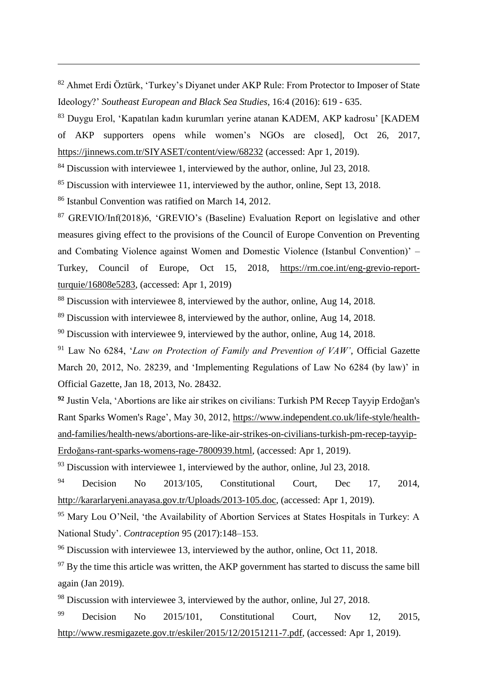<sup>82</sup> Ahmet Erdi Öztürk, 'Turkey's Diyanet under AKP Rule: From Protector to Imposer of State Ideology?' *Southeast European and Black Sea Studies*, 16:4 (2016): 619 - 635.

<sup>83</sup> Duygu Erol, 'Kapatılan kadın kurumları yerine atanan KADEM, AKP kadrosu' [KADEM of AKP supporters opens while women's NGOs are closed]*,* Oct 26, 2017, <https://jinnews.com.tr/SIYASET/content/view/68232> (accessed: Apr 1, 2019).

<sup>84</sup> Discussion with interviewee 1, interviewed by the author, online, Jul 23, 2018.

<sup>85</sup> Discussion with interviewee 11, interviewed by the author, online, Sept 13, 2018.

<sup>86</sup> Istanbul Convention was ratified on March 14, 2012.

-

<sup>87</sup> GREVIO/Inf(2018)6, 'GREVIO's (Baseline) Evaluation Report on legislative and other measures giving effect to the provisions of the Council of Europe Convention on Preventing and Combating Violence against Women and Domestic Violence (Istanbul Convention)' – Turkey, Council of Europe, Oct 15, 2018, [https://rm.coe.int/eng-grevio-report](https://rm.coe.int/eng-grevio-report-turquie/16808e5283)[turquie/16808e5283,](https://rm.coe.int/eng-grevio-report-turquie/16808e5283) (accessed: Apr 1, 2019)

<sup>88</sup> Discussion with interviewee 8, interviewed by the author, online, Aug 14, 2018.

<sup>89</sup> Discussion with interviewee 8, interviewed by the author, online, Aug 14, 2018.

 $90$  Discussion with interviewee 9, interviewed by the author, online, Aug 14, 2018.

<sup>91</sup> Law No 6284, '*Law on Protection of Family and Prevention of VAW'*, Official Gazette March 20, 2012, No. 28239, and 'Implementing Regulations of Law No 6284 (by law)' in Official Gazette, Jan 18, 2013, No. 28432.

**<sup>92</sup>** Justin Vela, 'Abortions are like air strikes on civilians: Turkish PM Recep Tayyip Erdoğan's Rant Sparks Women's Rage', May 30, 2012, [https://www.independent.co.uk/life-style/health](https://www.independent.co.uk/life-style/health-and-families/health-news/abortions-are-like-air-strikes-on-civilians-turkish-pm-recep-tayyip-erdogans-rant-sparks-womens-rage-7800939.html)[and-families/health-news/abortions-are-like-air-strikes-on-civilians-turkish-pm-recep-tayyip-](https://www.independent.co.uk/life-style/health-and-families/health-news/abortions-are-like-air-strikes-on-civilians-turkish-pm-recep-tayyip-erdogans-rant-sparks-womens-rage-7800939.html)[Erdoğans-rant-sparks-womens-rage-7800939.html,](https://www.independent.co.uk/life-style/health-and-families/health-news/abortions-are-like-air-strikes-on-civilians-turkish-pm-recep-tayyip-erdogans-rant-sparks-womens-rage-7800939.html) (accessed: Apr 1, 2019).

 $93$  Discussion with interviewee 1, interviewed by the author, online, Jul 23, 2018.

 $94$  Decision No 2013/105, Constitutional Court, Dec 17, 2014, [http://kararlaryeni.anayasa.gov.tr/Uploads/2013-105.doc,](http://kararlaryeni.anayasa.gov.tr/Uploads/2013-105.doc) (accessed: Apr 1, 2019).

<sup>95</sup> Mary Lou O'Neil, 'the Availability of Abortion Services at States Hospitals in Turkey: A National Study'. *Contraception* 95 (2017):148–153.

<sup>96</sup> Discussion with interviewee 13, interviewed by the author, online, Oct 11, 2018.

 $97$  By the time this article was written, the AKP government has started to discuss the same bill again (Jan 2019).

<sup>98</sup> Discussion with interviewee 3, interviewed by the author, online, Jul 27, 2018.

<sup>99</sup> Decision No 2015/101, Constitutional Court, Nov 12, 2015, [http://www.resmigazete.gov.tr/eskiler/2015/12/20151211-7.pdf,](http://www.resmigazete.gov.tr/eskiler/2015/12/20151211-7.pdf) (accessed: Apr 1, 2019).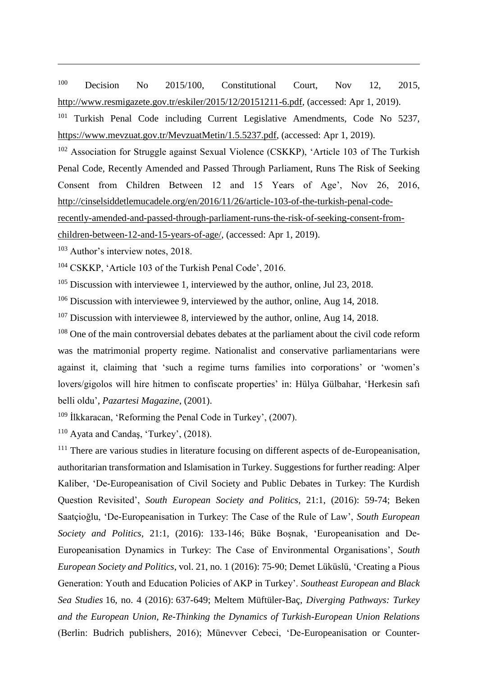<sup>100</sup> Decision No 2015/100, Constitutional Court, Nov 12, 2015, [http://www.resmigazete.gov.tr/eskiler/2015/12/20151211-6.pdf,](http://www.resmigazete.gov.tr/eskiler/2015/12/20151211-6.pdf) (accessed: Apr 1, 2019).

<sup>101</sup> Turkish Penal Code including Current Legislative Amendments, Code No 5237, [https://www.mevzuat.gov.tr/MevzuatMetin/1.5.5237.pdf,](https://www.mevzuat.gov.tr/MevzuatMetin/1.5.5237.pdf) (accessed: Apr 1, 2019).

<sup>102</sup> Association for Struggle against Sexual Violence (CSKKP), 'Article 103 of The Turkish Penal Code, Recently Amended and Passed Through Parliament, Runs The Risk of Seeking Consent from Children Between 12 and 15 Years of Age', Nov 26, 2016, [http://cinselsiddetlemucadele.org/en/2016/11/26/article-103-of-the-turkish-penal-code-](http://cinselsiddetlemucadele.org/en/2016/11/26/article-103-of-the-turkish-penal-code-recently-amended-and-passed-through-parliament-runs-the-risk-of-seeking-consent-from-children-between-12-and-15-years-of-age/)

[recently-amended-and-passed-through-parliament-runs-the-risk-of-seeking-consent-from-](http://cinselsiddetlemucadele.org/en/2016/11/26/article-103-of-the-turkish-penal-code-recently-amended-and-passed-through-parliament-runs-the-risk-of-seeking-consent-from-children-between-12-and-15-years-of-age/)

[children-between-12-and-15-years-of-age/,](http://cinselsiddetlemucadele.org/en/2016/11/26/article-103-of-the-turkish-penal-code-recently-amended-and-passed-through-parliament-runs-the-risk-of-seeking-consent-from-children-between-12-and-15-years-of-age/) (accessed: Apr 1, 2019).

<sup>103</sup> Author's interview notes, 2018.

-

<sup>104</sup> CSKKP, 'Article 103 of the Turkish Penal Code', 2016.

<sup>105</sup> Discussion with interviewee 1, interviewed by the author, online, Jul 23, 2018.

 $106$  Discussion with interviewee 9, interviewed by the author, online, Aug 14, 2018.

 $107$  Discussion with interviewee 8, interviewed by the author, online, Aug 14, 2018.

<sup>108</sup> One of the main controversial debates debates at the parliament about the civil code reform was the matrimonial property regime. Nationalist and conservative parliamentarians were against it, claiming that 'such a regime turns families into corporations' or 'women's lovers/gigolos will hire hitmen to confiscate properties' in: Hülya Gülbahar, 'Herkesin safı belli oldu', *Pazartesi Magazine*, (2001).

<sup>109</sup> İlkkaracan, 'Reforming the Penal Code in Turkey', (2007).

<sup>110</sup> Ayata and Candaş, 'Turkey', (2018).

<sup>111</sup> There are various studies in literature focusing on different aspects of de-Europeanisation, authoritarian transformation and Islamisation in Turkey. Suggestions for further reading: Alper Kaliber, 'De-Europeanisation of Civil Society and Public Debates in Turkey: The Kurdish Question Revisited', *South European Society and Politics*, 21:1, (2016): 59-74; Beken Saatçioğlu, 'De-Europeanisation in Turkey: The Case of the Rule of Law', *South European Society and Politics*, 21:1, (2016): 133-146; Büke Boşnak, 'Europeanisation and De-Europeanisation Dynamics in Turkey: The Case of Environmental Organisations', *South European Society and Politics*, vol. 21, no. 1 (2016): 75-90; Demet Lüküslü, 'Creating a Pious Generation: Youth and Education Policies of AKP in Turkey'. *Southeast European and Black Sea Studies* 16, no. 4 (2016): 637-649; Meltem Müftüler-Baç*, Diverging Pathways: Turkey and the European Union, Re-Thinking the Dynamics of Turkish-European Union Relations* (Berlin: Budrich publishers, 2016); Münevver Cebeci, 'De-Europeanisation or Counter